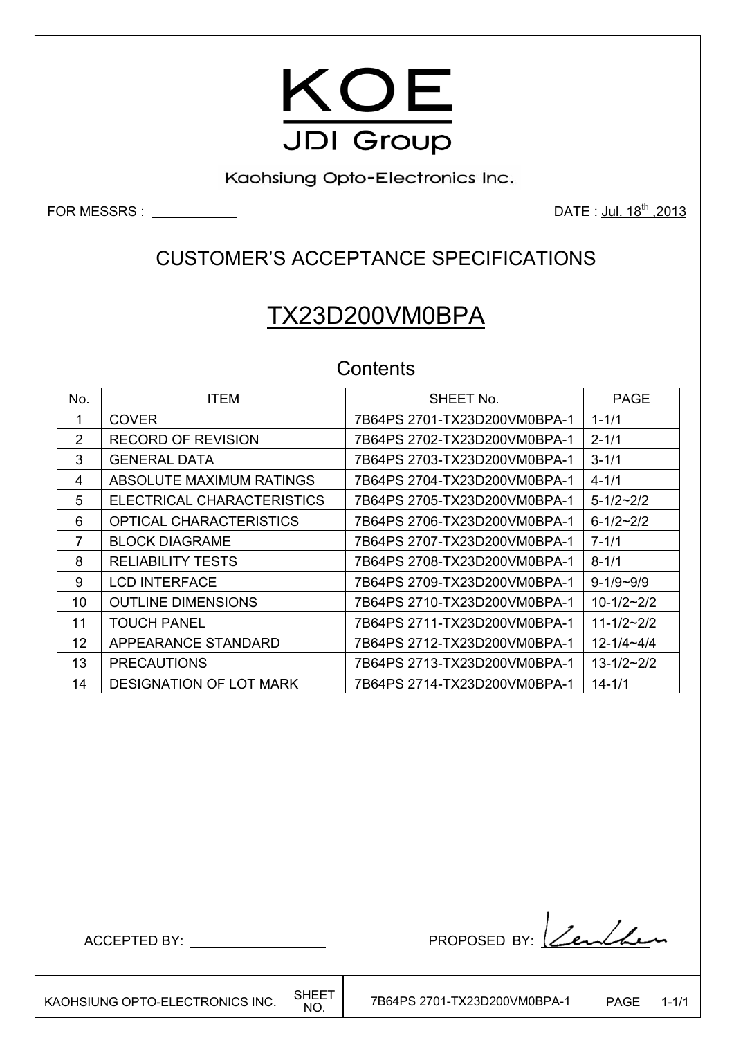

Kaohsiung Opto-Electronics Inc.

FOR MESSRS : DATE : Jul. 18th ,2013

## CUSTOMER'S ACCEPTANCE SPECIFICATIONS

# TX23D200VM0BPA

## **Contents**

| No.           | <b>ITEM</b>                    | SHEET No.                    | <b>PAGE</b>         |
|---------------|--------------------------------|------------------------------|---------------------|
| 1             | <b>COVER</b>                   | 7B64PS 2701-TX23D200VM0BPA-1 | $1 - 1/1$           |
| $\mathcal{P}$ | <b>RECORD OF REVISION</b>      | 7B64PS 2702-TX23D200VM0BPA-1 | $2 - 1/1$           |
| 3             | <b>GENERAL DATA</b>            | 7B64PS 2703-TX23D200VM0BPA-1 | $3 - 1/1$           |
| 4             | ABSOLUTE MAXIMUM RATINGS       | 7B64PS 2704-TX23D200VM0BPA-1 | $4 - 1/1$           |
| 5             | ELECTRICAL CHARACTERISTICS     | 7B64PS 2705-TX23D200VM0BPA-1 | $5 - 1/2 \sim 2/2$  |
| 6             | OPTICAL CHARACTERISTICS        | 7B64PS 2706-TX23D200VM0BPA-1 | $6 - 1/2 - 2/2$     |
| 7             | <b>BLOCK DIAGRAME</b>          | 7B64PS 2707-TX23D200VM0BPA-1 | $7 - 1/1$           |
| 8             | <b>RELIABILITY TESTS</b>       | 7B64PS 2708-TX23D200VM0BPA-1 | $8 - 1/1$           |
| 9             | <b>LCD INTERFACE</b>           | 7B64PS 2709-TX23D200VM0BPA-1 | $9 - 1/9 - 9/9$     |
| 10            | <b>OUTLINE DIMENSIONS</b>      | 7B64PS 2710-TX23D200VM0BPA-1 | $10 - 1/2 - 2/2$    |
| 11            | <b>TOUCH PANEL</b>             | 7B64PS 2711-TX23D200VM0BPA-1 | $11 - 1/2 - 2/2$    |
| 12            | APPEARANCE STANDARD            | 7B64PS 2712-TX23D200VM0BPA-1 | $12 - 1/4 - 4/4$    |
| 13            | <b>PRECAUTIONS</b>             | 7B64PS 2713-TX23D200VM0BPA-1 | $13 - 1/2 \sim 2/2$ |
| 14            | <b>DESIGNATION OF LOT MARK</b> | 7B64PS 2714-TX23D200VM0BPA-1 | $14 - 1/1$          |

 $\overline{\phantom{a}}$ 

7B64PS 2701-TX23D200VM0BPA-1 | PAGE | 1-1/1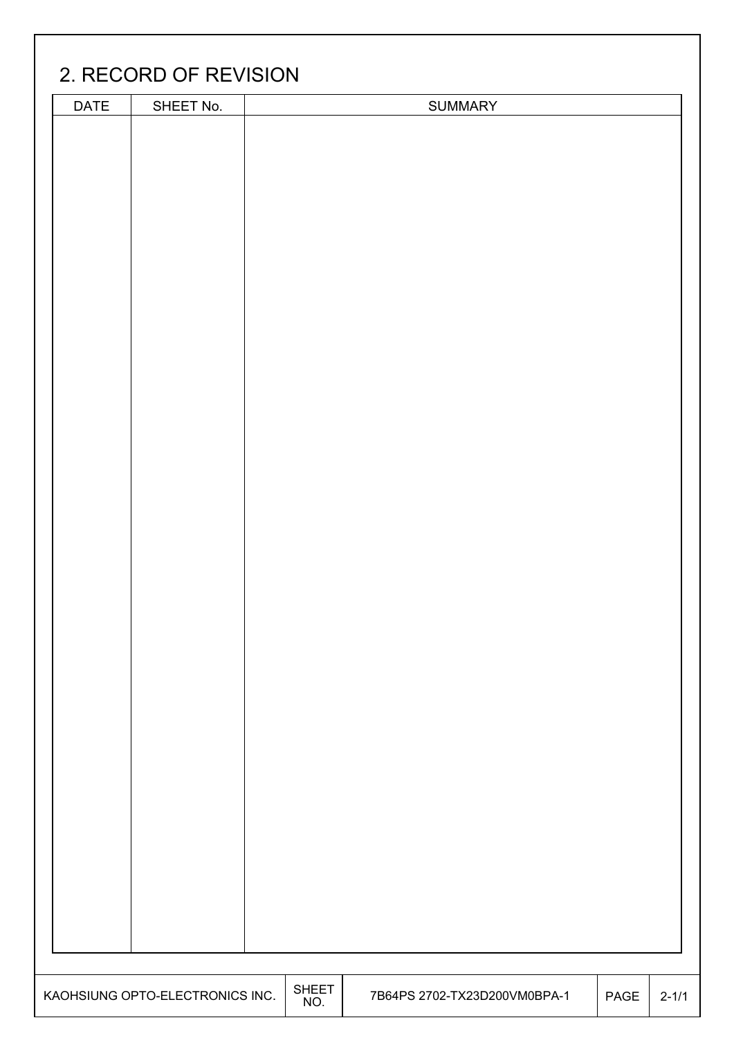# 2. RECORD OF REVISION

| <b>DATE</b> | SHEET No.                       |                     | <b>SUMMARY</b>               |      |           |
|-------------|---------------------------------|---------------------|------------------------------|------|-----------|
|             |                                 |                     |                              |      |           |
|             |                                 |                     |                              |      |           |
|             |                                 |                     |                              |      |           |
|             |                                 |                     |                              |      |           |
|             |                                 |                     |                              |      |           |
|             |                                 |                     |                              |      |           |
|             |                                 |                     |                              |      |           |
|             |                                 |                     |                              |      |           |
|             |                                 |                     |                              |      |           |
|             |                                 |                     |                              |      |           |
|             |                                 |                     |                              |      |           |
|             |                                 |                     |                              |      |           |
|             |                                 |                     |                              |      |           |
|             |                                 |                     |                              |      |           |
|             |                                 |                     |                              |      |           |
|             |                                 |                     |                              |      |           |
|             |                                 |                     |                              |      |           |
|             |                                 |                     |                              |      |           |
|             |                                 |                     |                              |      |           |
|             |                                 |                     |                              |      |           |
|             |                                 |                     |                              |      |           |
|             |                                 |                     |                              |      |           |
|             |                                 |                     |                              |      |           |
|             |                                 |                     |                              |      |           |
|             |                                 |                     |                              |      |           |
|             |                                 |                     |                              |      |           |
|             |                                 |                     |                              |      |           |
|             |                                 |                     |                              |      |           |
|             |                                 |                     |                              |      |           |
|             |                                 |                     |                              |      |           |
|             |                                 |                     |                              |      |           |
|             |                                 |                     |                              |      |           |
|             |                                 |                     |                              |      |           |
|             |                                 |                     |                              |      |           |
|             |                                 |                     |                              |      |           |
|             |                                 |                     |                              |      |           |
|             |                                 |                     |                              |      |           |
|             |                                 |                     |                              |      |           |
|             | KAOHSIUNG OPTO-ELECTRONICS INC. | <b>SHEET</b><br>NO. | 7B64PS 2702-TX23D200VM0BPA-1 | PAGE | $2 - 1/1$ |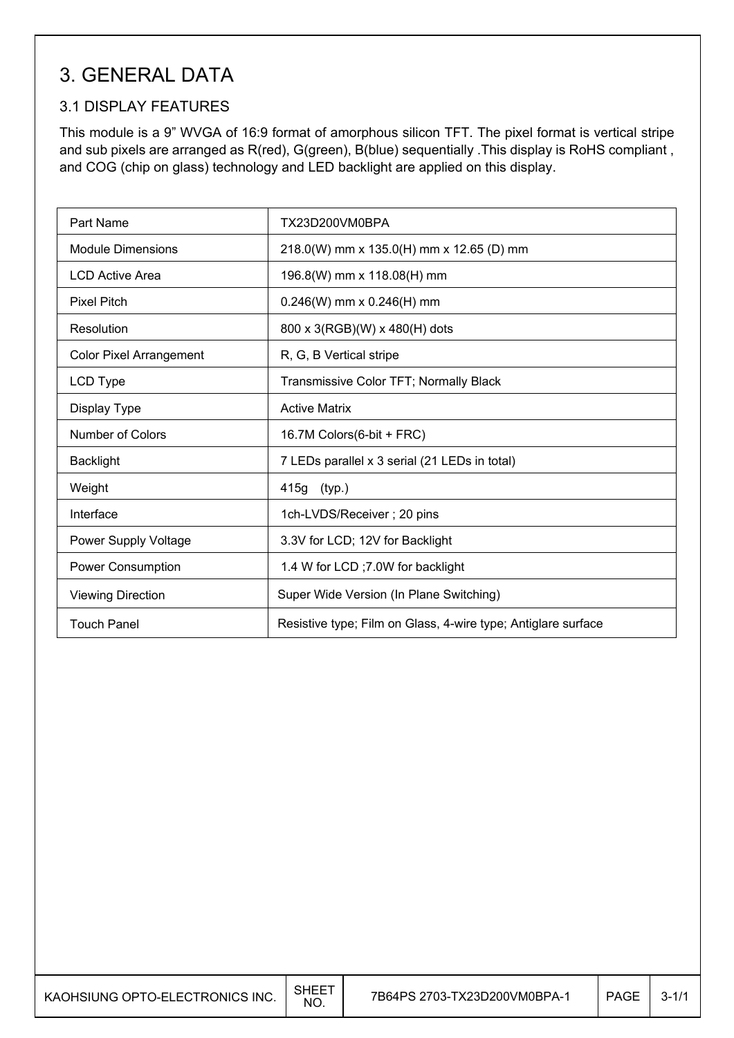## 3. GENERAL DATA

## 3.1 DISPLAY FEATURES

 $\overline{\phantom{a}}$ 

This module is a 9" WVGA of 16:9 format of amorphous silicon TFT. The pixel format is vertical stripe and sub pixels are arranged as R(red), G(green), B(blue) sequentially .This display is RoHS compliant , and COG (chip on glass) technology and LED backlight are applied on this display.

| Part Name                      | TX23D200VM0BPA                                                |
|--------------------------------|---------------------------------------------------------------|
| <b>Module Dimensions</b>       | 218.0(W) mm x 135.0(H) mm x 12.65 (D) mm                      |
| <b>LCD Active Area</b>         | 196.8(W) mm x 118.08(H) mm                                    |
| <b>Pixel Pitch</b>             | $0.246(W)$ mm x $0.246(H)$ mm                                 |
| Resolution                     | 800 x 3(RGB)(W) x 480(H) dots                                 |
| <b>Color Pixel Arrangement</b> | R, G, B Vertical stripe                                       |
| LCD Type                       | Transmissive Color TFT; Normally Black                        |
| Display Type                   | <b>Active Matrix</b>                                          |
| Number of Colors               | 16.7M Colors(6-bit + FRC)                                     |
| <b>Backlight</b>               | 7 LEDs parallel x 3 serial (21 LEDs in total)                 |
| Weight                         | 415g (typ.)                                                   |
| Interface                      | 1ch-LVDS/Receiver; 20 pins                                    |
| Power Supply Voltage           | 3.3V for LCD; 12V for Backlight                               |
| Power Consumption              | 1.4 W for LCD ; 7.0W for backlight                            |
| <b>Viewing Direction</b>       | Super Wide Version (In Plane Switching)                       |
| <b>Touch Panel</b>             | Resistive type; Film on Glass, 4-wire type; Antiglare surface |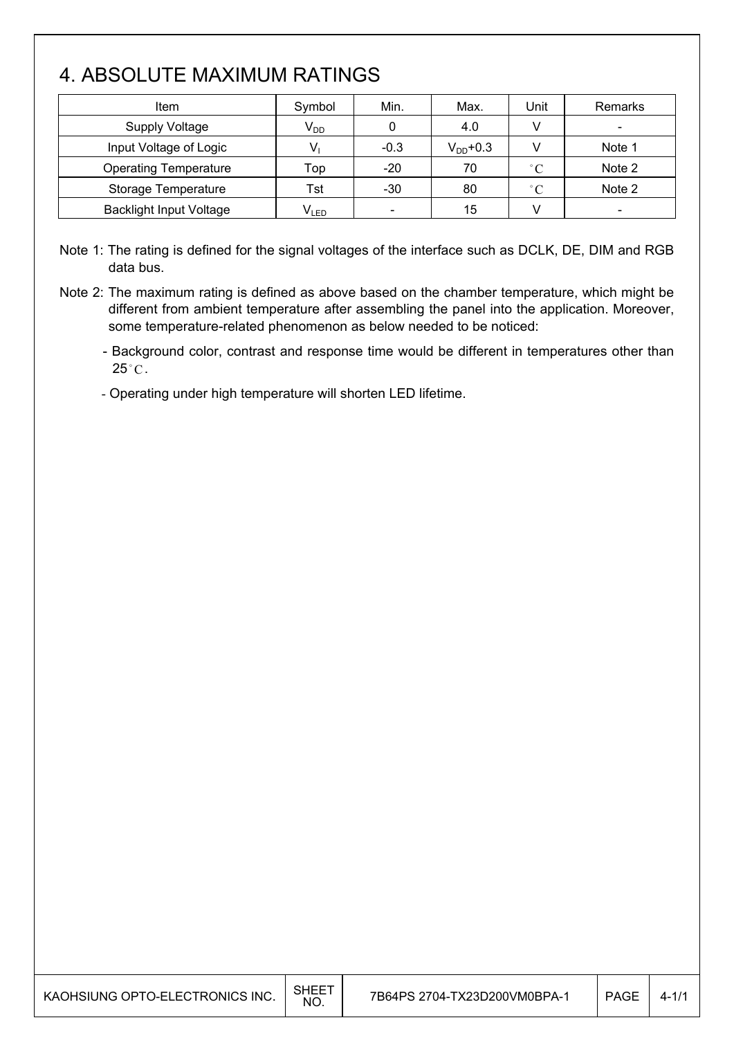## 4. ABSOLUTE MAXIMUM RATINGS

| <b>Item</b>                    | Symbol    | Min.                     | Max.          | Unit         | Remarks |
|--------------------------------|-----------|--------------------------|---------------|--------------|---------|
| <b>Supply Voltage</b>          | $V_{DD}$  |                          | 4.0           |              |         |
| Input Voltage of Logic         |           | $-0.3$                   | $V_{DD}$ +0.3 |              | Note 1  |
| <b>Operating Temperature</b>   | Top       | $-20$                    | 70            | $^{\circ}$ C | Note 2  |
| Storage Temperature            | Tst       | $-30$                    | 80            | $^{\circ}C$  | Note 2  |
| <b>Backlight Input Voltage</b> | $V_{LED}$ | $\overline{\phantom{a}}$ | 15            |              |         |

Note 1: The rating is defined for the signal voltages of the interface such as DCLK, DE, DIM and RGB data bus.

Note 2: The maximum rating is defined as above based on the chamber temperature, which might be different from ambient temperature after assembling the panel into the application. Moreover, some temperature-related phenomenon as below needed to be noticed:

- Background color, contrast and response time would be different in temperatures other than  $25^{\circ}$ C.

- Operating under high temperature will shorten LED lifetime.

| KAOHSIUNG OPTO-ELECTRONICS INC. | <b>SHEET</b><br><b>NO</b> | 7B64PS 2704-TX23D200VM0BPA-1 | PAGE | $4 - 1/1$ |
|---------------------------------|---------------------------|------------------------------|------|-----------|
|                                 |                           |                              |      |           |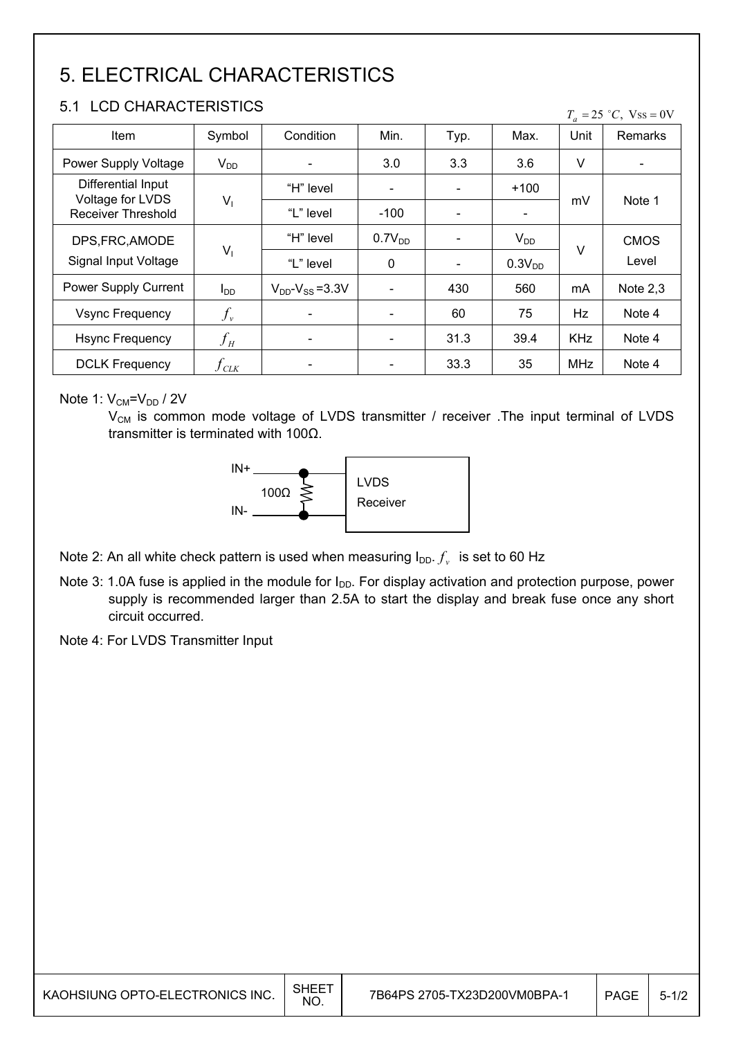# 5. ELECTRICAL CHARACTERISTICS

## 5.1 LCD CHARACTERISTICS

| $T_a = 25$ °C, Vss = 0V |
|-------------------------|
|-------------------------|

| <b>Item</b>                                   | Symbol                        | Condition                 | Min.                     | Typ.                     | Max.                     | Unit       | Remarks     |
|-----------------------------------------------|-------------------------------|---------------------------|--------------------------|--------------------------|--------------------------|------------|-------------|
| Power Supply Voltage                          | $V_{DD}$                      |                           | 3.0                      | 3.3                      | 3.6                      | V          |             |
| Differential Input                            |                               | "H" level                 | $\blacksquare$           | $\overline{\phantom{a}}$ | $+100$                   |            |             |
| Voltage for LVDS<br><b>Receiver Threshold</b> | $V_1$                         | "L" level                 | $-100$                   | $\overline{\phantom{a}}$ | $\overline{\phantom{a}}$ | mV         | Note 1      |
| DPS, FRC, AMODE                               |                               | "H" level                 | 0.7V <sub>DD</sub>       | $\overline{\phantom{a}}$ | $V_{DD}$                 |            | <b>CMOS</b> |
| Signal Input Voltage                          | $V_1$                         | "L" level                 | 0                        | $\blacksquare$           | 0.3V <sub>DD</sub>       | V          | Level       |
| Power Supply Current                          | $I_{DD}$                      | $V_{DD}$ - $V_{SS}$ =3.3V | $\overline{\phantom{a}}$ | 430                      | 560                      | mA         | Note $2,3$  |
| <b>Vsync Frequency</b>                        | $f_{\rm v}$                   |                           |                          | 60                       | 75                       | Hz         | Note 4      |
| <b>Hsync Frequency</b>                        | $f_H\,$                       |                           |                          | 31.3                     | 39.4                     | <b>KHz</b> | Note 4      |
| <b>DCLK Frequency</b>                         | $f_{\scriptscriptstyle{CLK}}$ |                           | $\overline{\phantom{a}}$ | 33.3                     | 35                       | <b>MHz</b> | Note 4      |

### Note 1:  $V_{CM} = V_{DD} / 2V$

 $V_{CM}$  is common mode voltage of LVDS transmitter / receiver . The input terminal of LVDS transmitter is terminated with  $100\Omega$ .



Note 2: An all white check pattern is used when measuring  $I_{DD}$ .  $f_v$  is set to 60 Hz

- Note 3: 1.0A fuse is applied in the module for I<sub>DD</sub>. For display activation and protection purpose, power supply is recommended larger than 2.5A to start the display and break fuse once any short circuit occurred.
- Note 4: For LVDS Transmitter Input

| KAOHSIUNG OPTO-ELECTRONICS INC. | SHEE <sup>-</sup><br><b>NO</b> | 7B64PS 2705-TX23D200VM0BPA-1 | PAGE | $5 - 1/2$ |
|---------------------------------|--------------------------------|------------------------------|------|-----------|
|---------------------------------|--------------------------------|------------------------------|------|-----------|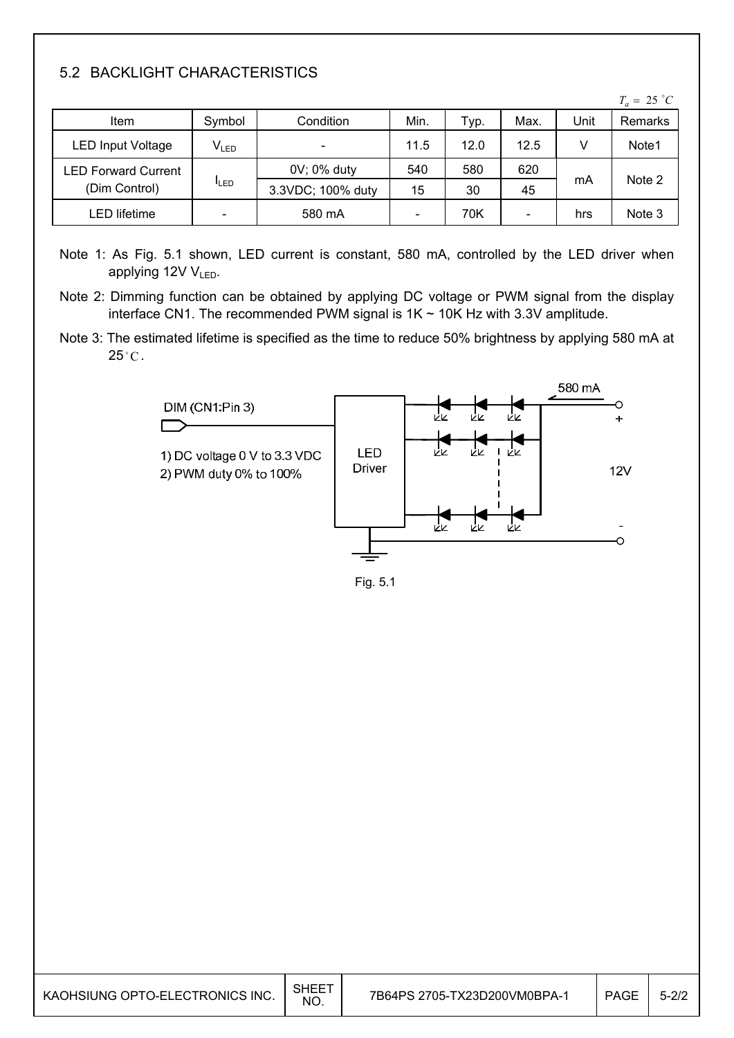## 5.2 BACKLIGHT CHARACTERISTICS

|                            |                          |                   |                              |      |                          |      | $T_a = 25 °C$ |
|----------------------------|--------------------------|-------------------|------------------------------|------|--------------------------|------|---------------|
| Item                       | Symbol                   | Condition         | Min.                         | Typ. | Max.                     | Unit | Remarks       |
| <b>LED Input Voltage</b>   | $V_{LED}$                | -                 | 11.5                         | 12.0 | 12.5                     | V    | Note1         |
| <b>LED Forward Current</b> |                          | 0V; 0% duty       | 540                          | 580  | 620                      | mA   | Note 2        |
| (Dim Control)              | <b>ILED</b>              | 3.3VDC; 100% duty | 15                           | 30   | 45                       |      |               |
| LED lifetime               | $\overline{\phantom{a}}$ | 580 mA            | $\qquad \qquad \blacksquare$ | 70K  | $\overline{\phantom{a}}$ | hrs  | Note 3        |

- Note 1: As Fig. 5.1 shown, LED current is constant, 580 mA, controlled by the LED driver when applying 12V V<sub>LED</sub>.
- Note 2: Dimming function can be obtained by applying DC voltage or PWM signal from the display interface CN1. The recommended PWM signal is  $1K \sim 10K$  Hz with 3.3V amplitude.
- Note 3: The estimated lifetime is specified as the time to reduce 50% brightness by applying 580 mA at  $25^{\circ}$ C.





| KAOHSIUNG OPTO-ELECTRONICS INC. | <b>SHEET</b><br>NO. | 7B64PS 2705-TX23D200VM0BPA-1 | <b>PAGE</b> | $5 - 2/2$ |
|---------------------------------|---------------------|------------------------------|-------------|-----------|
|---------------------------------|---------------------|------------------------------|-------------|-----------|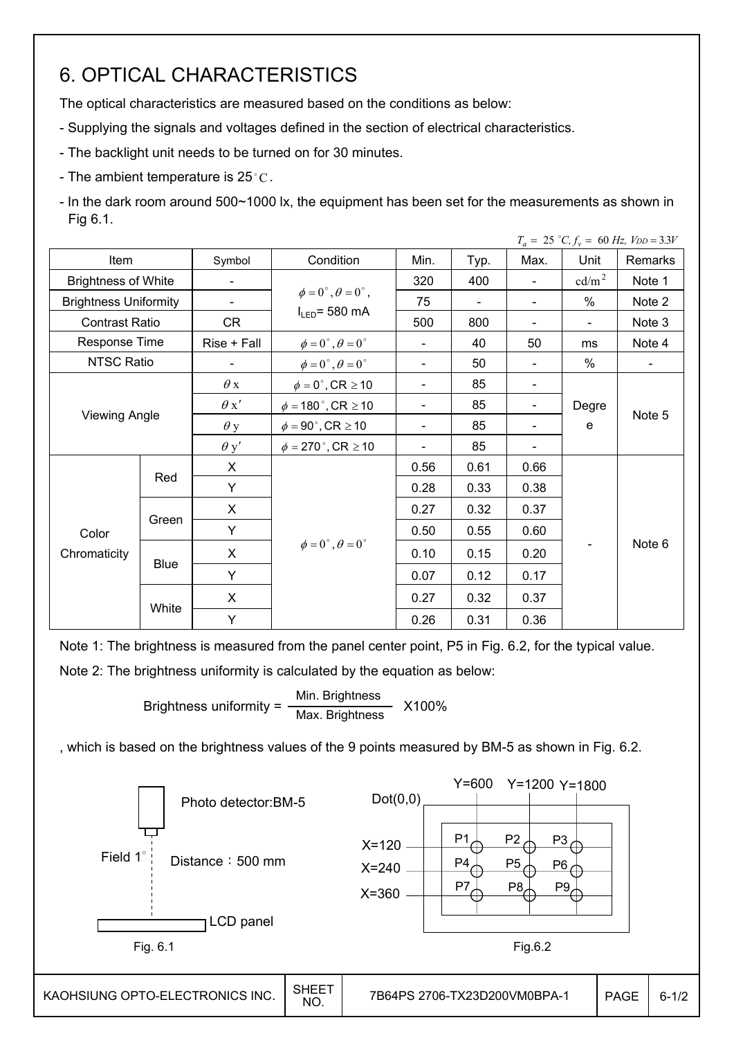## 6. OPTICAL CHARACTERISTICS

The optical characteristics are measured based on the conditions as below:

- Supplying the signals and voltages defined in the section of electrical characteristics.
- The backlight unit needs to be turned on for 30 minutes.
- The ambient temperature is  $25^{\circ}$ C.

- In the dark room around 500~1000 lx, the equipment has been set for the measurements as shown in Fig 6.1.

|                              |             |             |                                         |                              |      |                          |                   | $T_a = 25$ °C, $f_v = 60$ Hz, $V_{DD} = 3.3V$ |
|------------------------------|-------------|-------------|-----------------------------------------|------------------------------|------|--------------------------|-------------------|-----------------------------------------------|
| Item                         |             | Symbol      | Condition                               | Min.                         | Typ. | Max.                     | Unit              | Remarks                                       |
| <b>Brightness of White</b>   |             |             |                                         | 320                          | 400  |                          | cd/m <sup>2</sup> | Note 1                                        |
| <b>Brightness Uniformity</b> |             |             | $\phi = 0^{\circ}, \theta = 0^{\circ},$ | 75                           |      |                          | $\%$              | Note 2                                        |
| <b>Contrast Ratio</b>        |             | CR          | $I_{LED}$ = 580 mA                      | 500                          | 800  | -                        | $\blacksquare$    | Note 3                                        |
| Response Time                |             | Rise + Fall | $\phi = 0^{\circ}, \theta = 0^{\circ}$  | $\overline{\phantom{0}}$     | 40   | 50                       | ms                | Note 4                                        |
| <b>NTSC Ratio</b>            |             |             | $\phi = 0^{\circ}, \theta = 0^{\circ}$  | $\overline{\phantom{0}}$     | 50   | $\overline{\phantom{0}}$ | %                 | $\blacksquare$                                |
|                              |             | $\theta x$  | $\phi = 0^\circ$ , CR $\geq 10$         | -                            | 85   | -                        |                   |                                               |
|                              |             | $\theta x'$ | $\phi = 180^{\circ}$ , CR $\geq 10$     | $\overline{\phantom{0}}$     | 85   | $\overline{\phantom{0}}$ | Degre             |                                               |
| <b>Viewing Angle</b>         |             | $\theta$ y  | $\phi = 90^\circ$ , CR $\geq 10$        | -                            | 85   | -                        | e                 | Note 5                                        |
|                              |             | $\theta$ y' | $\phi = 270$ °, CR $\geq 10$            | $\qquad \qquad \blacksquare$ | 85   | -                        |                   |                                               |
|                              |             | X           |                                         | 0.56                         | 0.61 | 0.66                     |                   |                                               |
|                              | Red         | Y           |                                         | 0.28                         | 0.33 | 0.38                     |                   |                                               |
|                              |             | X           |                                         | 0.27                         | 0.32 | 0.37                     |                   |                                               |
| Color                        | Green       | Y           |                                         | 0.50                         | 0.55 | 0.60                     |                   |                                               |
| Chromaticity                 |             | X           | $\phi = 0^{\circ}, \theta = 0^{\circ}$  | 0.10                         | 0.15 | 0.20                     |                   | Note 6                                        |
|                              | <b>Blue</b> | Y           |                                         | 0.07                         | 0.12 | 0.17                     |                   |                                               |
|                              |             | X           |                                         | 0.27                         | 0.32 | 0.37                     |                   |                                               |
|                              | White       | Y           |                                         | 0.26                         | 0.31 | 0.36                     |                   |                                               |

Note 1: The brightness is measured from the panel center point, P5 in Fig. 6.2, for the typical value.

Note 2: The brightness uniformity is calculated by the equation as below:

Brightness uniformity =  $\frac{\text{Min.}_{\text{Br}}}{\text{Min.}_{\text{B}}}\times 100\%$ Max. Brightness

, which is based on the brightness values of the 9 points measured by BM-5 as shown in Fig. 6.2.

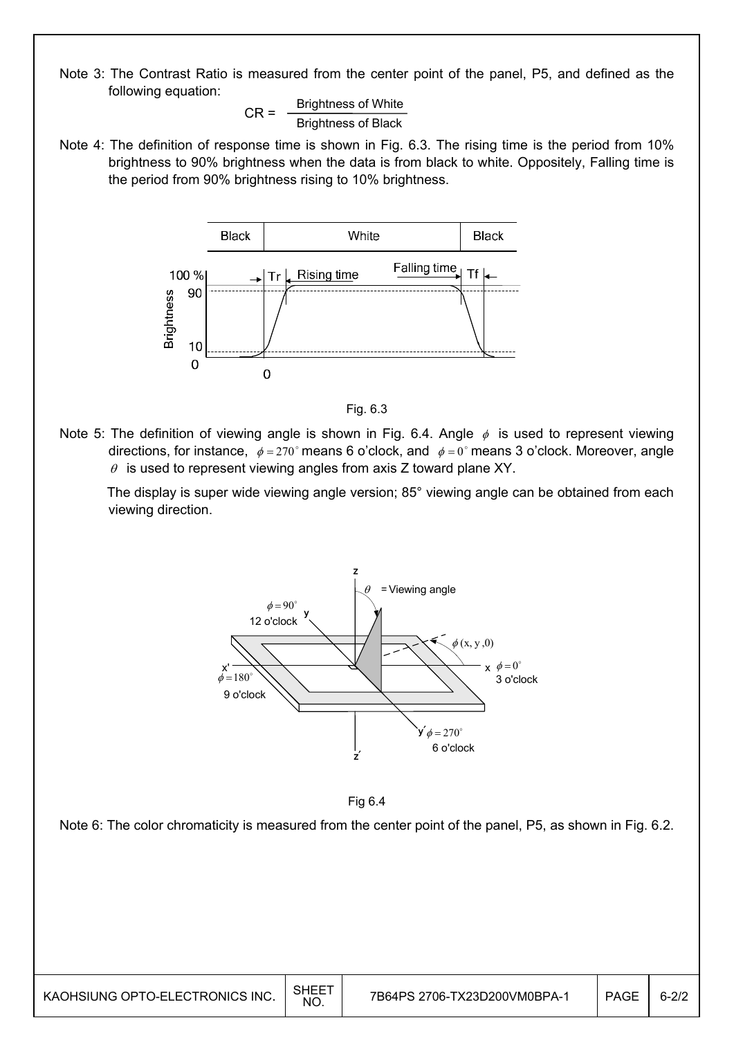Note 3: The Contrast Ratio is measured from the center point of the panel, P5, and defined as the following equation:

 $CR =$  Brightness of White Brightness of Black

Note 4: The definition of response time is shown in Fig. 6.3. The rising time is the period from 10% brightness to 90% brightness when the data is from black to white. Oppositely, Falling time is the period from 90% brightness rising to 10% brightness.





Note 5: The definition of viewing angle is shown in Fig. 6.4. Angle  $\phi$  is used to represent viewing directions, for instance,  $\phi = 270^\circ$  means 6 o'clock, and  $\phi = 0^\circ$  means 3 o'clock. Moreover, angle  $\theta$  is used to represent viewing angles from axis Z toward plane XY.

 The display is super wide viewing angle version; 85° viewing angle can be obtained from each viewing direction.





Note 6: The color chromaticity is measured from the center point of the panel, P5, as shown in Fig. 6.2.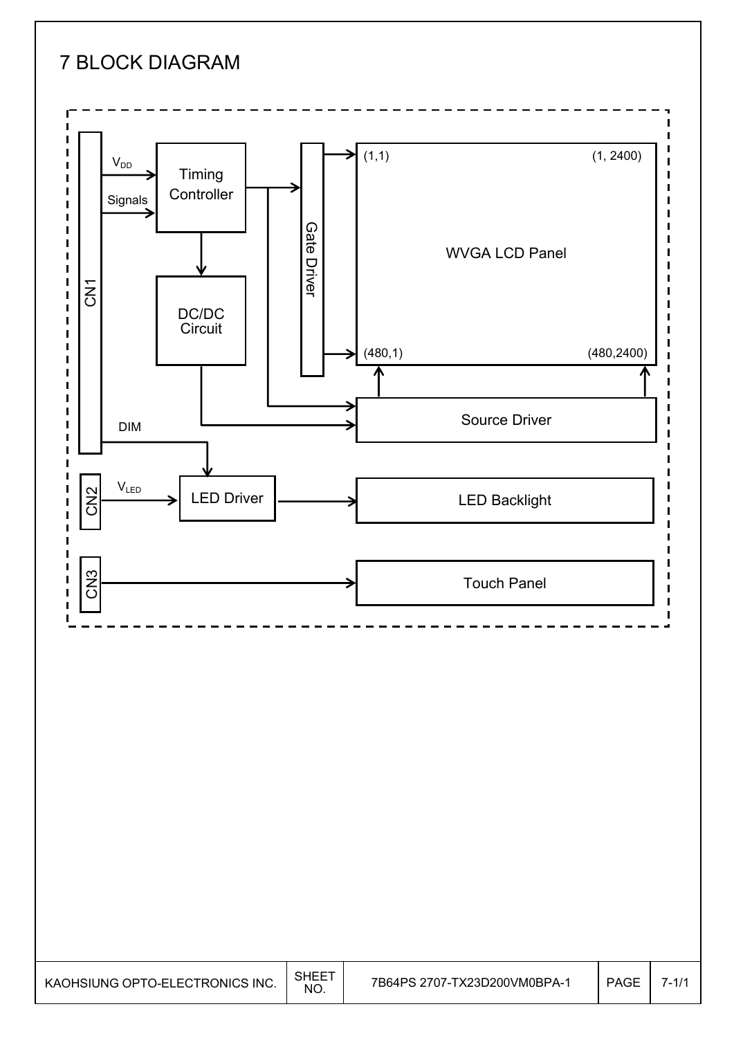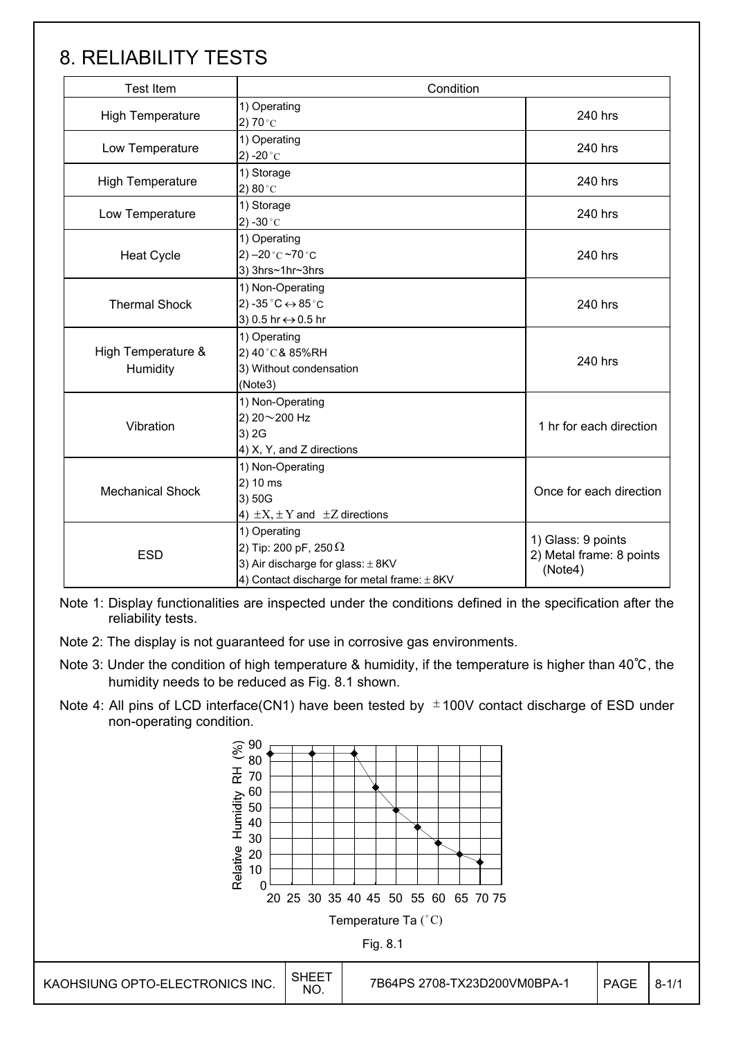## 8. RELIABILITY TESTS

Ī

| <b>Test Item</b>               | Condition                                                                                                                                |                                                           |  |
|--------------------------------|------------------------------------------------------------------------------------------------------------------------------------------|-----------------------------------------------------------|--|
| <b>High Temperature</b>        | 1) Operating<br>2) 70 $^{\circ}$ C                                                                                                       | 240 hrs                                                   |  |
| Low Temperature                | 1) Operating<br>2) -20 $^{\circ}$ C                                                                                                      | 240 hrs                                                   |  |
| <b>High Temperature</b>        | 1) Storage<br>2) $80^{\circ}$ C                                                                                                          | 240 hrs                                                   |  |
| Low Temperature                | 1) Storage<br>2) -30 $^{\circ}$ C                                                                                                        | 240 hrs                                                   |  |
| <b>Heat Cycle</b>              | 1) Operating<br>2) $-20$ °C $-70$ °C<br>3) 3hrs~1hr~3hrs                                                                                 | 240 hrs                                                   |  |
| <b>Thermal Shock</b>           | 1) Non-Operating<br>2) -35 $^{\circ}$ C $\leftrightarrow$ 85 $^{\circ}$ C<br>3) 0.5 hr ↔ 0.5 hr                                          | 240 hrs                                                   |  |
| High Temperature &<br>Humidity | 1) Operating<br>2) 40°C& 85%RH<br>3) Without condensation<br>(Note3)                                                                     | 240 hrs                                                   |  |
| Vibration                      | 1) Non-Operating<br>2) 20~200 Hz<br>3) 2G<br>4) X, Y, and Z directions                                                                   | 1 hr for each direction                                   |  |
| <b>Mechanical Shock</b>        | 1) Non-Operating<br>2) 10 ms<br>3) 50G<br>4) $\pm X$ , $\pm Y$ and $\pm Z$ directions                                                    | Once for each direction                                   |  |
| <b>ESD</b>                     | 1) Operating<br>2) Tip: 200 pF, 250 $\Omega$<br>3) Air discharge for glass: $\pm$ 8KV<br>4) Contact discharge for metal frame: $\pm$ 8KV | 1) Glass: 9 points<br>2) Metal frame: 8 points<br>(Note4) |  |

Note 1: Display functionalities are inspected under the conditions defined in the specification after the reliability tests.

- Note 2: The display is not guaranteed for use in corrosive gas environments.
- Note 3: Under the condition of high temperature & humidity, if the temperature is higher than 40℃, the humidity needs to be reduced as Fig. 8.1 shown.
- Note 4: All pins of LCD interface(CN1) have been tested by  $\pm$  100V contact discharge of ESD under non-operating condition.

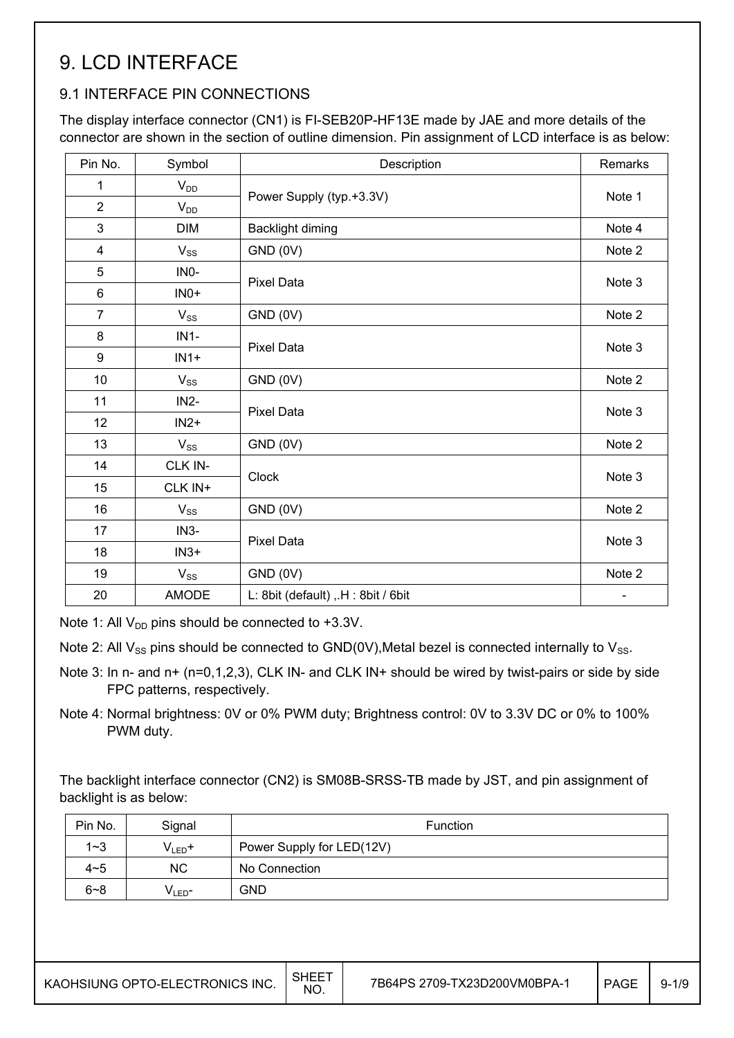## 9. LCD INTERFACE

### 9.1 INTERFACE PIN CONNECTIONS

The display interface connector (CN1) is FI-SEB20P-HF13E made by JAE and more details of the connector are shown in the section of outline dimension. Pin assignment of LCD interface is as below:

| Pin No.        | Symbol       | Description                       | Remarks |  |  |  |
|----------------|--------------|-----------------------------------|---------|--|--|--|
| 1              | $V_{DD}$     |                                   |         |  |  |  |
| $\overline{2}$ | $V_{DD}$     | Power Supply (typ.+3.3V)          | Note 1  |  |  |  |
| 3              | <b>DIM</b>   | Backlight diming                  | Note 4  |  |  |  |
| $\overline{4}$ | $V_{SS}$     | GND (0V)                          | Note 2  |  |  |  |
| 5              | INO-         |                                   |         |  |  |  |
| $\,6\,$        | $INO+$       | <b>Pixel Data</b>                 | Note 3  |  |  |  |
| $\overline{7}$ | $V_{SS}$     | GND (0V)                          | Note 2  |  |  |  |
| 8              | $IN1-$       | <b>Pixel Data</b>                 |         |  |  |  |
| 9              | $IN1+$       |                                   | Note 3  |  |  |  |
| 10             | $V_{SS}$     | GND (0V)                          | Note 2  |  |  |  |
| 11             | $IN2-$       | <b>Pixel Data</b>                 | Note 3  |  |  |  |
| 12             | $IN2+$       |                                   |         |  |  |  |
| 13             | $V_{SS}$     | GND (0V)                          | Note 2  |  |  |  |
| 14             | CLK IN-      | <b>Clock</b>                      | Note 3  |  |  |  |
| 15             | CLK IN+      |                                   |         |  |  |  |
| 16             | $V_{SS}$     | GND (0V)                          | Note 2  |  |  |  |
| 17             | $IN3-$       | <b>Pixel Data</b>                 | Note 3  |  |  |  |
| 18             | $IN3+$       |                                   |         |  |  |  |
| 19             | $V_{SS}$     | GND (0V)                          | Note 2  |  |  |  |
| 20             | <b>AMODE</b> | L: 8bit (default), H: 8bit / 6bit |         |  |  |  |

Note 1: All  $V_{DD}$  pins should be connected to +3.3V.

Note 2: All  $V_{SS}$  pins should be connected to GND(0V), Metal bezel is connected internally to  $V_{SS}$ .

- Note 3: In n- and n+ (n=0,1,2,3), CLK IN- and CLK IN+ should be wired by twist-pairs or side by side FPC patterns, respectively.
- Note 4: Normal brightness: 0V or 0% PWM duty; Brightness control: 0V to 3.3V DC or 0% to 100% PWM duty.

The backlight interface connector (CN2) is SM08B-SRSS-TB made by JST, and pin assignment of backlight is as below:

| Pin No. | Signal            | <b>Function</b>           |
|---------|-------------------|---------------------------|
| $1 - 3$ | $V_{LED}$ +       | Power Supply for LED(12V) |
| $4 - 5$ | ΝC                | No Connection             |
| $6 - 8$ | V∟ED <sup>–</sup> | <b>GND</b>                |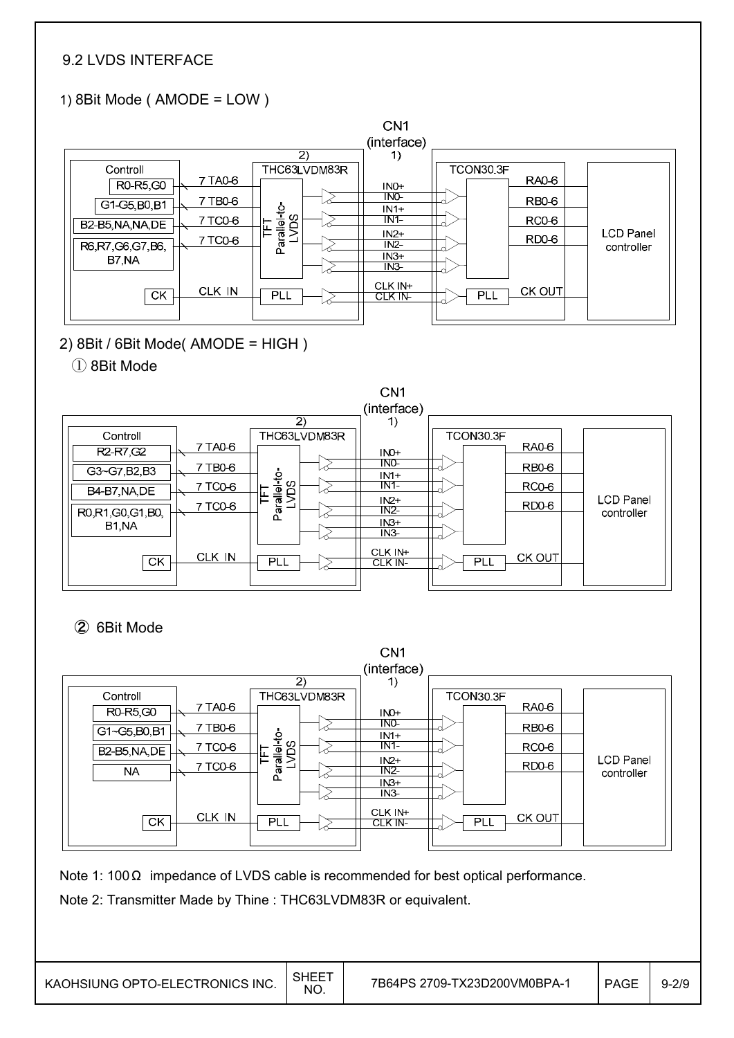### 9.2 LVDS INTERFACE

## 1) 8Bit Mode ( AMODE = LOW )



2) 8Bit / 6Bit Mode( AMODE = HIGH )

① 8Bit Mode



② 6Bit Mode



Note 1: 100 Ω impedance of LVDS cable is recommended for best optical performance.

Note 2: Transmitter Made by Thine : THC63LVDM83R or equivalent.

KAOHSIUNG OPTO-ELECTRONICS INC.  $\Big|\substack{\text{SHEET} \ \text{NO.}}$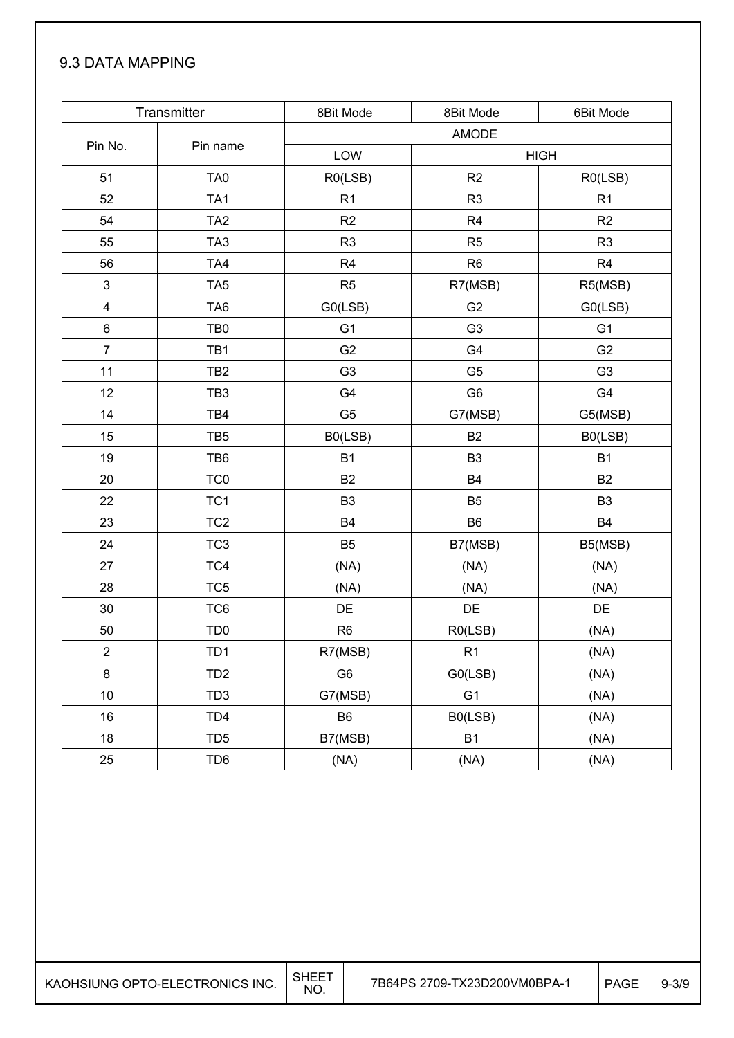### 9.3 DATA MAPPING

|                         | Transmitter     | 8Bit Mode      | 8Bit Mode      | 6Bit Mode      |
|-------------------------|-----------------|----------------|----------------|----------------|
|                         |                 |                | <b>AMODE</b>   |                |
| Pin No.                 | Pin name        | LOW            |                | <b>HIGH</b>    |
| 51                      | TA <sub>0</sub> | R0(LSB)        | R2             | RO(LSB)        |
| 52                      | TA <sub>1</sub> | R <sub>1</sub> | R <sub>3</sub> | R <sub>1</sub> |
| 54                      | TA <sub>2</sub> | R2             | R <sub>4</sub> | R2             |
| 55                      | TA <sub>3</sub> | R <sub>3</sub> | R <sub>5</sub> | R <sub>3</sub> |
| 56                      | TA4             | R <sub>4</sub> | R <sub>6</sub> | R <sub>4</sub> |
| $\mathfrak{S}$          | TA <sub>5</sub> | R <sub>5</sub> | R7(MSB)        | R5(MSB)        |
| $\overline{\mathbf{4}}$ | TA <sub>6</sub> | GO(LSB)        | G <sub>2</sub> | GO(LSB)        |
| 6                       | TB <sub>0</sub> | G <sub>1</sub> | G <sub>3</sub> | G <sub>1</sub> |
| $\overline{7}$          | TB1             | G <sub>2</sub> | G4             | G <sub>2</sub> |
| 11                      | TB <sub>2</sub> | G <sub>3</sub> | G <sub>5</sub> | G <sub>3</sub> |
| 12                      | TB <sub>3</sub> | G4             | G <sub>6</sub> | G4             |
| 14                      | TB4             | G <sub>5</sub> | G7(MSB)        | G5(MSB)        |
| 15                      | TB <sub>5</sub> | B0(LSB)        | B <sub>2</sub> | B0(LSB)        |
| 19                      | TB6             | <b>B1</b>      | B <sub>3</sub> | <b>B1</b>      |
| 20                      | TC <sub>0</sub> | <b>B2</b>      | <b>B4</b>      | <b>B2</b>      |
| 22                      | TC <sub>1</sub> | B <sub>3</sub> | <b>B5</b>      | B <sub>3</sub> |
| 23                      | TC <sub>2</sub> | <b>B4</b>      | <b>B6</b>      | <b>B4</b>      |
| 24                      | TC <sub>3</sub> | B <sub>5</sub> | B7(MSB)        | B5(MSB)        |
| 27                      | TC4             | (NA)           | (NA)           | (NA)           |
| 28                      | TC <sub>5</sub> | (NA)           | (NA)           | (NA)           |
| 30                      | TC6             | DE             | DE             | DE             |
| 50                      | TD <sub>0</sub> | R <sub>6</sub> | R0(LSB)        | (NA)           |
| $\mathbf 2$             | TD1             | R7(MSB)        | R1             | (NA)           |
| 8                       | TD <sub>2</sub> | G <sub>6</sub> | G0(LSB)        | (NA)           |
| 10                      | TD <sub>3</sub> | G7(MSB)        | G <sub>1</sub> | (NA)           |
| 16                      | TD <sub>4</sub> | B <sub>6</sub> | B0(LSB)        | (NA)           |
| 18                      | TD <sub>5</sub> | B7(MSB)        | <b>B1</b>      | (NA)           |
| 25                      | TD <sub>6</sub> | (NA)           | (NA)           | (NA)           |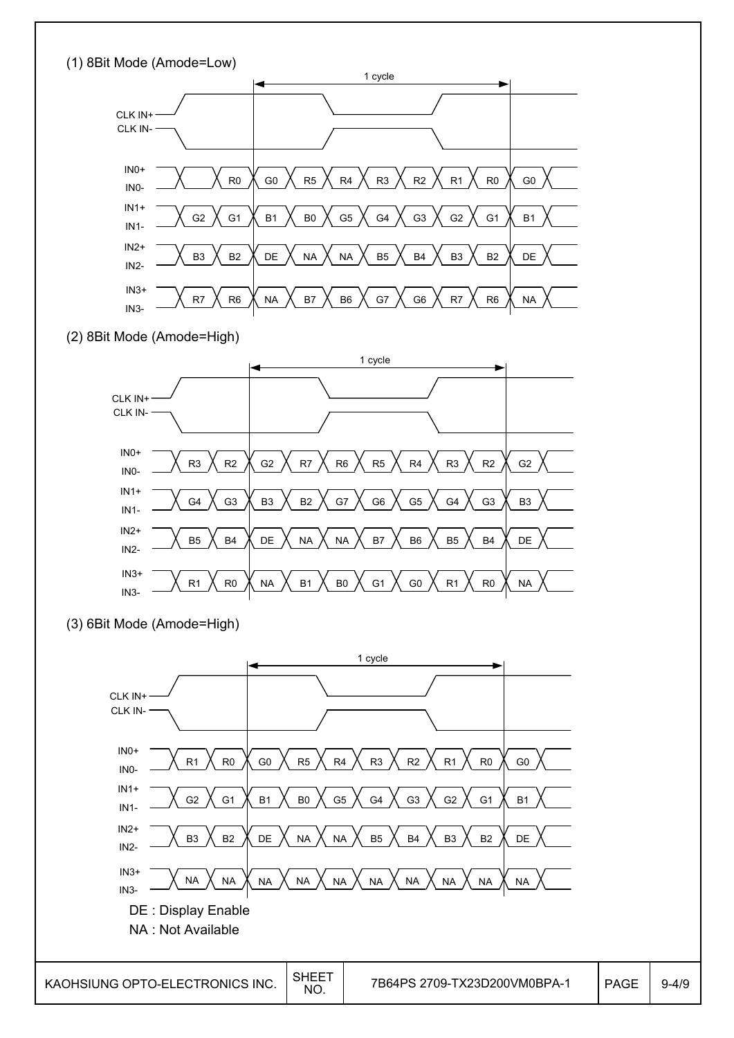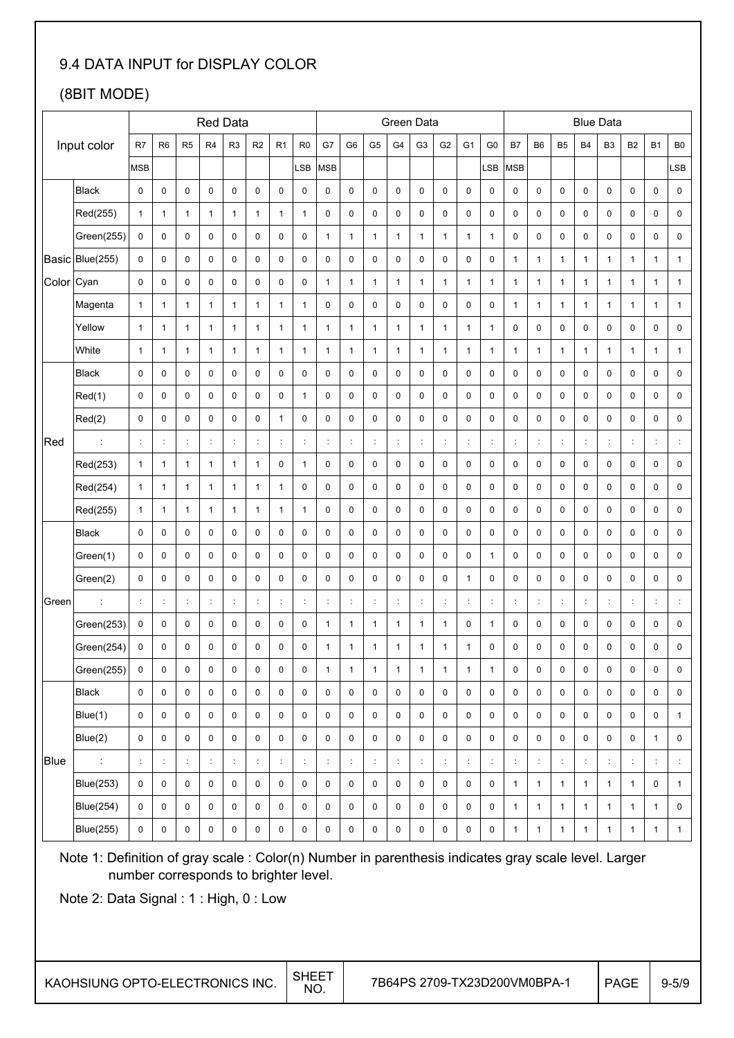## 9.4 DATA INPUT for DISPLAY COLOR

## (8BIT MODE)

|       |                  |                      |                      |                |                | <b>Red Data</b>   |                      |                |                     | Green Data   |                |                      |                |                |                      |                     | <b>Blue Data</b>     |                      |                     |                |                      |                                      |                |                |                        |
|-------|------------------|----------------------|----------------------|----------------|----------------|-------------------|----------------------|----------------|---------------------|--------------|----------------|----------------------|----------------|----------------|----------------------|---------------------|----------------------|----------------------|---------------------|----------------|----------------------|--------------------------------------|----------------|----------------|------------------------|
|       | Input color      | R7                   | R <sub>6</sub>       | R <sub>5</sub> | R <sub>4</sub> | R <sub>3</sub>    | R2                   | R <sub>1</sub> | R <sub>0</sub>      | G7           | G <sub>6</sub> | G <sub>5</sub>       | G4             | G <sub>3</sub> | G <sub>2</sub>       | G <sub>1</sub>      | G <sub>0</sub>       | B7                   | B <sub>6</sub>      | B <sub>5</sub> | <b>B4</b>            | B <sub>3</sub>                       | B <sub>2</sub> | B <sub>1</sub> | B <sub>0</sub>         |
|       |                  | <b>MSB</b>           |                      |                |                |                   |                      |                | LSB                 | <b>MSB</b>   |                |                      |                |                |                      |                     | LSB                  | MSB                  |                     |                |                      |                                      |                |                | $\mathsf{S}\mathsf{B}$ |
|       | <b>Black</b>     | 0                    | $\mathbf 0$          | $\pmb{0}$      | 0              | 0                 | 0                    | 0              | $\pmb{0}$           | 0            | 0              | 0                    | 0              | $\mathbf 0$    | $\pmb{0}$            | 0                   | 0                    | 0                    | $\pmb{0}$           | $\pmb{0}$      | $\mathbf 0$          | 0                                    | $\pmb{0}$      | 0              | $\pmb{0}$              |
|       | Red(255)         | 1                    | $\mathbf{1}$         | $\mathbf{1}$   | 1              | $\mathbf{1}$      | $\mathbf{1}$         | $\mathbf{1}$   | $\mathbf{1}$        | 0            | 0              | 0                    | 0              | 0              | 0                    | 0                   | 0                    | 0                    | 0                   | 0              | 0                    | 0                                    | 0              | 0              | $\pmb{0}$              |
|       | Green(255)       | 0                    | 0                    | 0              | 0              | 0                 | 0                    | 0              | $\pmb{0}$           | $\mathbf{1}$ | $\mathbf{1}$   | $\mathbf{1}$         | $\mathbf{1}$   | 1              | $\mathbf{1}$         | $\mathbf{1}$        | 1                    | 0                    | 0                   | 0              | 0                    | 0                                    | 0              | 0              | 0                      |
|       | Basic Blue(255)  | 0                    | 0                    | $\pmb{0}$      | $\pmb{0}$      | 0                 | 0                    | $\pmb{0}$      | $\pmb{0}$           | 0            | $\pmb{0}$      | 0                    | 0              | $\mathbf 0$    | $\pmb{0}$            | 0                   | 0                    | 1                    | $\mathbf{1}$        | 1              | $\mathbf{1}$         | $\mathbf{1}$                         | $\mathbf{1}$   | $\mathbf{1}$   | $\mathbf{1}$           |
| Color | Cyan             | 0                    | 0                    | 0              | 0              | 0                 | 0                    | $\pmb{0}$      | $\pmb{0}$           | 1            | $\mathbf{1}$   | $\mathbf{1}$         | 1              | 1              | $\mathbf{1}$         | 1                   | 1                    | 1                    | $\mathbf{1}$        | 1              | $\mathbf{1}$         | $\mathbf{1}$                         | $\mathbf{1}$   | $\mathbf{1}$   | $\mathbf{1}$           |
|       | Magenta          | $\mathbf{1}$         | $\mathbf{1}$         | $\mathbf{1}$   | $\mathbf{1}$   | $\mathbf{1}$      | $\mathbf{1}$         | $\mathbf{1}$   | $\mathbf{1}$        | 0            | $\pmb{0}$      | 0                    | 0              | $\mathbf 0$    | $\pmb{0}$            | 0                   | 0                    | $\mathbf{1}$         | $\mathbf{1}$        | 1              | $\mathbf{1}$         | $\mathbf{1}$                         | $\mathbf{1}$   | $\mathbf{1}$   | $\mathbf{1}$           |
|       | Yellow           | $\mathbf{1}$         | $\mathbf{1}$         | $\mathbf{1}$   | $\mathbf{1}$   | $\mathbf{1}$      | 1                    | $\mathbf{1}$   | $\mathbf{1}$        | $\mathbf{1}$ | $\mathbf{1}$   | $\mathbf{1}$         | $\mathbf{1}$   | $\mathbf{1}$   | $\mathbf{1}$         | $\mathbf{1}$        | 1                    | 0                    | $\pmb{0}$           | $\pmb{0}$      | 0                    | $\pmb{0}$                            | $\pmb{0}$      | $\pmb{0}$      | $\pmb{0}$              |
|       | White            | $\mathbf{1}$         | $\mathbf{1}$         | $\mathbf{1}$   | $\mathbf{1}$   | $\mathbf{1}$      | $\mathbf{1}$         | $\mathbf{1}$   | $\mathbf{1}$        | $\mathbf{1}$ | $\mathbf{1}$   | $\mathbf{1}$         | $\mathbf{1}$   | $\mathbf{1}$   | $\mathbf{1}$         | $\mathbf{1}$        | 1                    | $\mathbf{1}$         | $\mathbf{1}$        | $\mathbf{1}$   | $\mathbf{1}$         | $\mathbf{1}$                         | $\mathbf{1}$   | $\mathbf{1}$   | $\mathbf{1}$           |
|       | <b>Black</b>     | 0                    | 0                    | $\pmb{0}$      | 0              | 0                 | 0                    | $\pmb{0}$      | $\pmb{0}$           | 0            | 0              | 0                    | 0              | $\mathbf 0$    | $\pmb{0}$            | 0                   | 0                    | 0                    | $\pmb{0}$           | $\pmb{0}$      | $\bf 0$              | $\mathbf 0$                          | $\pmb{0}$      | 0              | $\pmb{0}$              |
|       | Red(1)           | 0                    | 0                    | $\pmb{0}$      | 0              | 0                 | $\pmb{0}$            | $\pmb{0}$      | $\mathbf{1}$        | $\pmb{0}$    | $\pmb{0}$      | 0                    | 0              | $\mathbf 0$    | $\pmb{0}$            | 0                   | 0                    | 0                    | $\pmb{0}$           | $\pmb{0}$      | $\bf 0$              | $\mathbf 0$                          | $\pmb{0}$      | 0              | $\pmb{0}$              |
|       | Red(2)           | 0                    | 0                    | $\pmb{0}$      | 0              | 0                 | 0                    | $\mathbf{1}$   | $\pmb{0}$           | 0            | 0              | $\pmb{0}$            | 0              | 0              | $\pmb{0}$            | 0                   | 0                    | 0                    | $\pmb{0}$           | $\pmb{0}$      | 0                    | $\mathbf 0$                          | $\pmb{0}$      | $\pmb{0}$      | 0                      |
| Red   | $\ddot{\cdot}$   | $\ddot{\cdot}$       | ÷                    | $\ddot{\cdot}$ | ċ              | ÷                 | ÷                    | $\ddot{\cdot}$ | ÷                   | ÷            | ÷              | t,                   | ÷              |                | ÷,                   | ÷                   | $\ddot{\phantom{a}}$ | $\ddot{\cdot}$       | ÷                   | ċ              | $\ddot{.}$           | $\ddot{\phantom{a}}$                 | ÷              | ċ              | ÷                      |
|       | Red(253)         | 1                    | $\mathbf{1}$         | $\mathbf{1}$   | 1              | $\mathbf{1}$      | $\mathbf{1}$         | 0              | $\mathbf{1}$        | 0            | 0              | 0                    | 0              | $\mathbf 0$    | $\pmb{0}$            | 0                   | 0                    | 0                    | 0                   | $\mathbf 0$    | 0                    | 0                                    | $\pmb{0}$      | 0              | $\pmb{0}$              |
|       | Red(254)         | 1                    | $\mathbf{1}$         | $\mathbf{1}$   | 1              | $\mathbf{1}$      | 1                    | $\mathbf{1}$   | $\pmb{0}$           | 0            | 0              | 0                    | 0              | 0              | 0                    | 0                   | 0                    | 0                    | 0                   | 0              | 0                    | 0                                    | 0              | 0              | 0                      |
|       | Red(255)         | $\mathbf{1}$         | 1                    | $\mathbf{1}$   | 1              | $\mathbf{1}$      | 1                    | $\mathbf{1}$   | $\mathbf{1}$        | 0            | 0              | 0                    | 0              | 0              | $\pmb{0}$            | 0                   | 0                    | 0                    | 0                   | $\mathbf 0$    | 0                    | 0                                    | 0              | 0              | 0                      |
|       | <b>Black</b>     | $\mathbf 0$          | 0                    | $\pmb{0}$      | $\pmb{0}$      | 0                 | 0                    | $\pmb{0}$      | $\pmb{0}$           | 0            | $\pmb{0}$      | 0                    | 0              | $\mathbf 0$    | $\pmb{0}$            | 0                   | 0                    | 0                    | $\pmb{0}$           | $\pmb{0}$      | $\mathbf 0$          | 0                                    | $\pmb{0}$      | $\pmb{0}$      | 0                      |
|       | Green(1)         | 0                    | 0                    | 0              | 0              | 0                 | 0                    | 0              | $\pmb{0}$           | 0            | $\pmb{0}$      | 0                    | 0              | 0              | $\pmb{0}$            | 0                   | 1                    | 0                    | 0                   | $\pmb{0}$      | 0                    | 0                                    | 0              | 0              | 0                      |
|       | Green(2)         | $\mathbf 0$          | 0                    | $\pmb{0}$      | $\pmb{0}$      | 0                 | 0                    | 0              | $\pmb{0}$           | 0            | $\pmb{0}$      | 0                    | 0              | $\mathbf 0$    | $\pmb{0}$            | $\mathbf{1}$        | $\mathbf 0$          | 0                    | $\pmb{0}$           | $\pmb{0}$      | 0                    | $\pmb{0}$                            | $\pmb{0}$      | $\pmb{0}$      | $\pmb{0}$              |
| Green | $\cdot$          | ÷                    | ÷                    | ÷              | $\ddot{\cdot}$ | ÷                 | ÷                    | $\ddot{\cdot}$ | ÷                   | ÷            | ÷              | ÷                    | $\ddot{\cdot}$ | ÷              | ÷                    | $\ddot{\cdot}$      | ÷                    | $\ddot{\phantom{a}}$ | ÷                   | $\ddot{\cdot}$ | $\ddot{\phantom{a}}$ | ÷                                    | ÷              | ċ              | ÷                      |
|       | Green(253)       | $\pmb{0}$            | $\pmb{0}$            | 0              | 0              | 0                 | 0                    | 0              | $\pmb{0}$           | $\mathbf{1}$ | $\mathbf{1}$   | $\mathbf{1}$         | $\mathbf{1}$   | $\mathbf{1}$   | $\mathbf{1}$         | 0                   | 1                    | 0                    | 0                   | 0              | 0                    | 0                                    | 0              | 0              | $\pmb{0}$              |
|       | Green(254)       | 0                    | 0                    | $\mathbf 0$    | 0              | 0                 | 0                    | $\mathbf 0$    | $\mathbf 0$         | $\mathbf{1}$ | $\mathbf{1}$   | $\mathbf{1}$         | 1              | 1              | $\mathbf{1}$         | $\mathbf{1}$        | $\mathbf 0$          | 0                    | 0                   | 0              | 0                    | 0                                    | 0              | $\mathbf 0$    | 0                      |
|       | Green(255)       | 0                    | $\mathbf 0$          | $\pmb{0}$      | 0              | 0                 | 0                    | $\pmb{0}$      | $\pmb{0}$           | 1            | $\mathbf{1}$   | $\mathbf{1}$         | $\mathbf{1}$   | $\mathbf{1}$   | $\mathbf{1}$         | $\mathbf{1}$        | $\mathbf{1}$         | 0                    | 0                   | $\pmb{0}$      | 0                    | $\mathbf 0$                          | $\mathsf 0$    | $\pmb{0}$      | 0                      |
|       | <b>Black</b>     | $\mathsf 0$          | $\mathbf 0$          | $\pmb{0}$      | $\mathsf 0$    | 0                 | 0                    | $\mathsf 0$    | $\mathsf{O}\xspace$ | 0            | $\mathsf 0$    | $\mathsf 0$          | 0              | $\mathbf 0$    | $\mathsf 0$          | $\mathsf{O}\xspace$ | 0                    | $\pmb{0}$            | $\mathsf{O}\xspace$ | $\pmb{0}$      | $\pmb{0}$            | $\mathbf 0$                          | $\pmb{0}$      | $\pmb{0}$      | $\mathsf{O}$           |
|       | Blue(1)          | 0                    | 0                    | $\pmb{0}$      | 0              | 0                 | 0                    | $\mathbf 0$    | $\pmb{0}$           | 0            | 0              | 0                    | 0              | $\pmb{0}$      | $\pmb{0}$            | 0                   | 0                    | 0                    | 0                   | 0              | 0                    | 0                                    | 0              | 0              | $\mathbf{1}$           |
|       | Blue(2)          | 0                    | $\mathbf 0$          | $\mathsf 0$    | $\pmb{0}$      | 0                 | 0                    | $\mathsf 0$    | $\mathsf 0$         | 0            | $\pmb{0}$      | 0                    | 0              | $\pmb{0}$      | $\mathsf 0$          | 0                   | 0                    | $\mathbf 0$          | $\mathsf 0$         | $\pmb{0}$      | 0                    | $\mathbf 0$                          | 0              | $\mathbf{1}$   | 0                      |
| Blue  | ÷                | $\ddot{\phantom{a}}$ | $\ddot{\phantom{a}}$ | ÷              | $\ddot{\cdot}$ | $\ddot{\ddot{z}}$ | $\ddot{\phantom{a}}$ | ÷              | ÷.                  | ÷            | $\ddot{\cdot}$ | $\ddot{\phantom{a}}$ | ÷              |                | $\ddot{\phantom{a}}$ | ÷                   | ÷                    | ÷                    | ÷.                  | ÷              | $\ddot{.}$           | $\ddot{\ddot{\phantom{}}\phantom{}}$ | ÷              | ÷              | ÷                      |
|       | <b>Blue(253)</b> | 0                    | 0                    | $\pmb{0}$      | 0              | 0                 | 0                    | 0              | 0                   | 0            | $\pmb{0}$      | 0                    | 0              | 0              | $\pmb{0}$            | 0                   | 0                    | $\mathbf{1}$         | $\mathbf{1}$        | $\mathbf{1}$   | $\mathbf{1}$         | $\mathbf{1}$                         | $\mathbf{1}$   | 0              | $\mathbf{1}$           |
|       | <b>Blue(254)</b> | 0                    | 0                    | $\pmb{0}$      | $\pmb{0}$      | 0                 | 0                    | 0              | $\pmb{0}$           | 0            | $\pmb{0}$      | 0                    | 0              | $\mathbf 0$    | $\pmb{0}$            | 0                   | 0                    | $\mathbf{1}$         | $\mathbf{1}$        | $\mathbf{1}$   | $\mathbf{1}$         | $\mathbf{1}$                         | $\mathbf{1}$   | $\mathbf{1}$   | 0                      |
|       | <b>Blue(255)</b> | 0                    | 0                    | $\pmb{0}$      | 0              | 0                 | 0                    | 0              | $\pmb{0}$           | 0            | 0              | 0                    | 0              | $\pmb{0}$      | 0                    | 0                   | 0                    | $\mathbf{1}$         | $\mathbf{1}$        | $\mathbf{1}$   | $\mathbf{1}$         | $\mathbf{1}$                         | $\mathbf{1}$   | $\mathbf{1}$   | $\mathbf{1}$           |

Note 1: Definition of gray scale : Color(n) Number in parenthesis indicates gray scale level. Larger number corresponds to brighter level.

Note 2: Data Signal : 1 : High, 0 : Low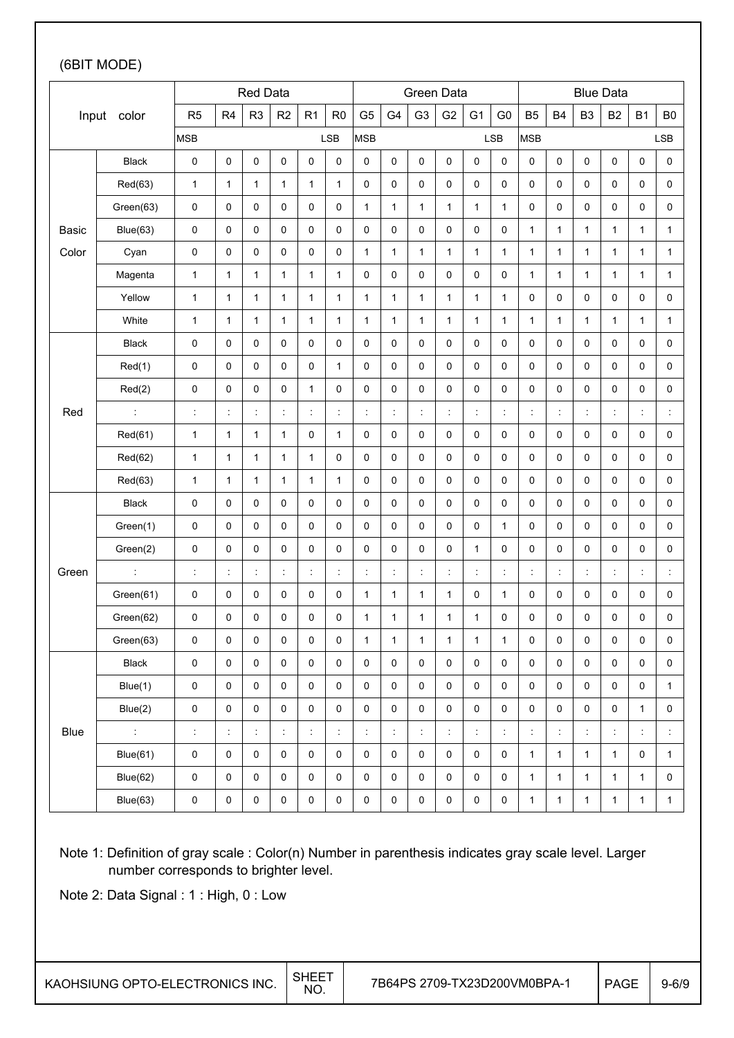### (6BIT MODE)

| Red Data |                      |                      |                      |                |                      |              |                      |                | Green Data           |                      |                     |                      |                      |                | <b>Blue Data</b>    |                      |                      |                      |                      |
|----------|----------------------|----------------------|----------------------|----------------|----------------------|--------------|----------------------|----------------|----------------------|----------------------|---------------------|----------------------|----------------------|----------------|---------------------|----------------------|----------------------|----------------------|----------------------|
|          | Input color          | R <sub>5</sub>       | R <sub>4</sub>       | R <sub>3</sub> | R <sub>2</sub>       | R1           | R <sub>0</sub>       | G <sub>5</sub> | G4                   | G <sub>3</sub>       | G <sub>2</sub>      | G <sub>1</sub>       | G <sub>0</sub>       | <b>B5</b>      | B <sub>4</sub>      | B <sub>3</sub>       | <b>B2</b>            | <b>B1</b>            | B <sub>0</sub>       |
|          |                      | <b>MSB</b>           |                      |                |                      |              | <b>LSB</b>           | <b>MSB</b>     |                      |                      |                     |                      | <b>LSB</b>           | <b>MSB</b>     |                     |                      |                      |                      | LSB                  |
|          | <b>Black</b>         | 0                    | 0                    | $\pmb{0}$      | $\pmb{0}$            | 0            | 0                    | 0              | $\mathbf 0$          | 0                    | 0                   | 0                    | 0                    | $\pmb{0}$      | 0                   | 0                    | $\pmb{0}$            | 0                    | $\pmb{0}$            |
|          | Red(63)              | $\mathbf{1}$         | $\mathbf{1}$         | $\mathbf{1}$   | 1                    | 1            | $\mathbf{1}$         | 0              | $\mathbf 0$          | $\mathbf 0$          | 0                   | 0                    | 0                    | 0              | 0                   | 0                    | $\pmb{0}$            | 0                    | $\pmb{0}$            |
|          | Green(63)            | 0                    | 0                    | 0              | 0                    | 0            | 0                    | $\mathbf{1}$   | 1                    | $\mathbf{1}$         | $\mathbf{1}$        | $\mathbf{1}$         | 1                    | 0              | 0                   | 0                    | 0                    | 0                    | 0                    |
| Basic    | Blue(63)             | $\pmb{0}$            | 0                    | $\pmb{0}$      | 0                    | 0            | 0                    | 0              | $\mathbf 0$          | $\mathbf 0$          | 0                   | 0                    | 0                    | $\mathbf{1}$   | 1                   | 1                    | $\mathbf{1}$         | 1                    | $\mathbf{1}$         |
| Color    | Cyan                 | 0                    | 0                    | $\mathbf 0$    | 0                    | 0            | 0                    | 1              | $\mathbf{1}$         | $\mathbf{1}$         | $\mathbf{1}$        | $\mathbf{1}$         | $\mathbf{1}$         | $\mathbf{1}$   | $\mathbf{1}$        | $\mathbf{1}$         | $\mathbf{1}$         | $\mathbf{1}$         | $\mathbf{1}$         |
|          | Magenta              | $\mathbf{1}$         | $\mathbf{1}$         | $\mathbf{1}$   | $\mathbf{1}$         | $\mathbf{1}$ | $\mathbf{1}$         | 0              | 0                    | 0                    | 0                   | 0                    | 0                    | $\mathbf{1}$   | 1                   | $\mathbf{1}$         | 1                    | $\mathbf{1}$         | $\mathbf{1}$         |
|          | Yellow               | $\mathbf{1}$         | $\mathbf{1}$         | $\mathbf{1}$   | 1                    | $\mathbf{1}$ | $\mathbf{1}$         | $\mathbf{1}$   | $\mathbf{1}$         | $\mathbf{1}$         | $\mathbf{1}$        | $\mathbf{1}$         | $\mathbf{1}$         | $\pmb{0}$      | 0                   | 0                    | $\pmb{0}$            | 0                    | $\pmb{0}$            |
|          | White                | $\mathbf{1}$         | $\mathbf{1}$         | $\mathbf{1}$   | $\mathbf{1}$         | $\mathbf{1}$ | $\mathbf{1}$         | $\mathbf{1}$   | $\mathbf{1}$         | $\mathbf{1}$         | $\mathbf{1}$        | $\mathbf{1}$         | $\mathbf{1}$         | $\mathbf{1}$   | $\mathbf{1}$        | $\mathbf{1}$         | $\mathbf{1}$         | $\mathbf{1}$         | $\mathbf{1}$         |
|          | <b>Black</b>         | 0                    | 0                    | $\pmb{0}$      | $\pmb{0}$            | 0            | $\pmb{0}$            | 0              | 0                    | 0                    | 0                   | 0                    | 0                    | 0              | 0                   | 0                    | $\pmb{0}$            | 0                    | $\pmb{0}$            |
|          | Red(1)               | 0                    | 0                    | $\pmb{0}$      | $\pmb{0}$            | 0            | $\mathbf{1}$         | 0              | $\pmb{0}$            | $\mathsf{O}\xspace$  | 0                   | 0                    | 0                    | $\pmb{0}$      | 0                   | 0                    | $\pmb{0}$            | 0                    | $\pmb{0}$            |
|          | Red(2)               | 0                    | 0                    | 0              | 0                    | $\mathbf{1}$ | 0                    | $\pmb{0}$      | $\mathsf 0$          | $\mathsf{O}\xspace$  | 0                   | $\mathsf 0$          | 0                    | 0              | 0                   | 0                    | $\pmb{0}$            | 0                    | $\mathsf 0$          |
| Red      |                      | $\ddot{\phantom{a}}$ | $\ddot{\phantom{a}}$ | Ì              | ċ                    | t            | t                    | $\ddot{\cdot}$ | $\ddot{\cdot}$       | $\ddot{\phantom{a}}$ | t                   | t,                   | $\ddot{\phantom{a}}$ | $\ddot{\cdot}$ | ÷                   | İ,                   | ÷                    | $\ddot{\cdot}$       | $\ddot{\phantom{a}}$ |
|          | Red(61)              | $\mathbf{1}$         | $\mathbf{1}$         | $\mathbf{1}$   | 1                    | 0            | $\mathbf{1}$         | 0              | 0                    | 0                    | 0                   | 0                    | 0                    | 0              | 0                   | 0                    | $\pmb{0}$            | 0                    | 0                    |
|          | Red(62)              | $\mathbf{1}$         | $\mathbf{1}$         | $\mathbf{1}$   | 1                    | $\mathbf{1}$ | 0                    | 0              | $\pmb{0}$            | 0                    | 0                   | 0                    | 0                    | 0              | 0                   | 0                    | $\pmb{0}$            | 0                    | $\pmb{0}$            |
|          | Red(63)              | $\mathbf{1}$         | $\mathbf{1}$         | $\mathbf{1}$   | $\mathbf{1}$         | 1            | 1                    | 0              | 0                    | 0                    | 0                   | 0                    | 0                    | 0              | 0                   | 0                    | $\pmb{0}$            | 0                    | 0                    |
|          | Black                | 0                    | 0                    | $\pmb{0}$      | 0                    | 0            | 0                    | 0              | $\pmb{0}$            | $\mathsf{O}\xspace$  | 0                   | 0                    | 0                    | $\pmb{0}$      | 0                   | 0                    | $\pmb{0}$            | 0                    | 0                    |
|          | Green(1)             | 0                    | 0                    | $\pmb{0}$      | 0                    | 0            | 0                    | 0              | 0                    | $\mathsf{O}\xspace$  | 0                   | 0                    | 1                    | $\pmb{0}$      | 0                   | 0                    | $\pmb{0}$            | 0                    | $\pmb{0}$            |
|          | Green(2)             | 0                    | 0                    | $\pmb{0}$      | 0                    | 0            | 0                    | 0              | $\mathbf 0$          | $\mathsf{O}\xspace$  | 0                   | $\mathbf{1}$         | 0                    | 0              | 0                   | 0                    | $\pmb{0}$            | 0                    | 0                    |
| Green    | $\ddot{\phantom{a}}$ | $\ddot{\phantom{a}}$ | $\ddot{\phantom{a}}$ | ÷              | ÷                    | ÷            | $\ddot{\phantom{a}}$ | ÷              | $\ddot{\cdot}$       | $\ddot{\phantom{a}}$ | ÷                   | ÷                    | $\ddot{\phantom{a}}$ | ÷              | ÷                   | $\ddot{\phantom{a}}$ | $\ddot{\phantom{a}}$ | ÷                    | $\ddot{\phantom{a}}$ |
|          | Green(61)            | 0                    | 0                    | $\pmb{0}$      | $\pmb{0}$            | 0            | 0                    | $\mathbf{1}$   | $\mathbf{1}$         | $\mathbf{1}$         | $\mathbf{1}$        | 0                    | $\mathbf{1}$         | $\pmb{0}$      | 0                   | 0                    | $\pmb{0}$            | 0                    | $\pmb{0}$            |
|          | Green(62)            | 0                    | 0                    | 0              | 0                    | 0            | 0                    | 1              | 1                    | $\mathbf{1}$         | $\mathbf{1}$        | 1                    | 0                    | 0              | 0                   | 0                    | 0                    | 0                    | 0                    |
|          | Green(63)            | 0                    | 0                    | $\pmb{0}$      | 0                    | 0            | $\mathsf 0$          | $\mathbf{1}$   | $\mathbf{1}$         | $\mathbf{1}$         | $\mathbf{1}$        | $\mathbf{1}$         | $\mathbf{1}$         | $\pmb{0}$      | 0                   | 0                    | $\pmb{0}$            | 0                    | 0                    |
|          | Black                | $\mathsf{O}\xspace$  | $\pmb{0}$            | $\mathsf 0$    | $\pmb{0}$            | $\pmb{0}$    | $\pmb{0}$            | $\pmb{0}$      | $\mathsf 0$          | $\mathsf{O}\xspace$  | $\mathsf{O}\xspace$ | $\mathsf{O}\xspace$  | 0                    | $\mathsf 0$    | $\mathsf{O}\xspace$ | $\mathsf{O}\xspace$  | $\mathbf 0$          | $\mathsf{O}\xspace$  | 0                    |
|          | Blue(1)              | $\pmb{0}$            | 0                    | 0              | 0                    | 0            | $\pmb{0}$            | 0              | $\mathsf 0$          | 0                    | $\mathsf 0$         | $\mathsf 0$          | 0                    | $\pmb{0}$      | 0                   | 0                    | $\pmb{0}$            | 0                    | $\mathbf{1}$         |
|          | Blue(2)              | $\pmb{0}$            | 0                    | $\pmb{0}$      | 0                    | 0            | $\pmb{0}$            | 0              | 0                    | $\pmb{0}$            | $\pmb{0}$           | 0                    | 0                    | 0              | 0                   | 0                    | $\pmb{0}$            | $\mathbf{1}$         | $\pmb{0}$            |
| Blue     | $\mathbb{Z}^+$       | $\ddot{\phantom{a}}$ | $\ddot{\phantom{a}}$ | ÷              | $\ddot{\phantom{a}}$ | ÷            | $\ddot{\phantom{a}}$ | $\ddot{\cdot}$ | $\ddot{\phantom{a}}$ | $\ddot{\phantom{a}}$ | ÷.                  | $\ddot{\phantom{a}}$ | $\ddot{\phantom{a}}$ | $\ddot{\cdot}$ | t,                  | İ,                   | $\ddot{\phantom{a}}$ | $\ddot{\phantom{a}}$ | $\ddot{\phantom{a}}$ |
|          | Blue(61)             | $\mathsf{O}\xspace$  | $\pmb{0}$            | 0              | 0                    | 0            | $\pmb{0}$            | 0              | $\mathsf 0$          | 0                    | 0                   | 0                    | 0                    | $\mathbf{1}$   | 1                   | $\mathbf{1}$         | $\mathbf{1}$         | 0                    | $\mathbf{1}$         |
|          | Blue(62)             | $\pmb{0}$            | 0                    | $\pmb{0}$      | 0                    | 0            | 0                    | 0              | $\mathsf 0$          | 0                    | $\pmb{0}$           | 0                    | 0                    | $\mathbf{1}$   | $\mathbf{1}$        | $\mathbf{1}$         | $\mathbf{1}$         | $\mathbf{1}$         | 0                    |
|          | Blue(63)             | $\pmb{0}$            | $\pmb{0}$            | $\pmb{0}$      | 0                    | $\pmb{0}$    | 0                    | 0              | 0                    | $\pmb{0}$            | $\pmb{0}$           | 0                    | 0                    | $\mathbf{1}$   | $\mathbf{1}$        | $\mathbf{1}$         | $\mathbf{1}$         | $\mathbf{1}$         | $\mathbf{1}$         |

Note 1: Definition of gray scale : Color(n) Number in parenthesis indicates gray scale level. Larger number corresponds to brighter level.

Note 2: Data Signal : 1 : High, 0 : Low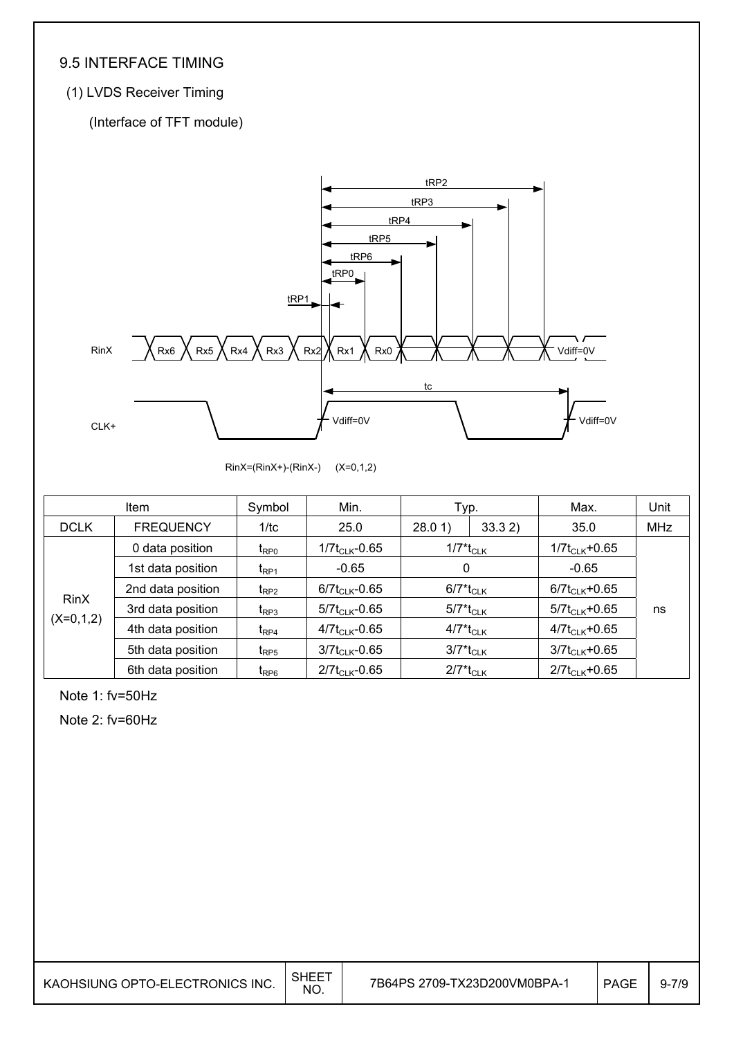## 9.5 INTERFACE TIMING

## (1) LVDS Receiver Timing

(Interface of TFT module)



RinX=(RinX+)-(RinX-) (X=0,1,2)

|             | <b>Item</b>       | Symbol                                | Min.                | Typ.                                |  | Max.                | Unit       |  |
|-------------|-------------------|---------------------------------------|---------------------|-------------------------------------|--|---------------------|------------|--|
| <b>DCLK</b> | <b>FREQUENCY</b>  | 1/tc                                  | 25.0                | 33.32<br>28.01                      |  | 35.0                | <b>MHz</b> |  |
|             | 0 data position   | $t_{\mathsf{RPO}}$                    | $1/7t_{CLK}$ -0.65  | $1/7$ <sup>*</sup> t <sub>CLK</sub> |  | $1/7t_{CLK} + 0.65$ |            |  |
|             | 1st data position | t <sub>RP1</sub>                      | $-0.65$             | 0                                   |  | $-0.65$             |            |  |
|             | 2nd data position | $t_{RP2}$                             | $6/7t_{CLK}$ -0.65  | $6/7$ <sup>*</sup> t <sub>CLK</sub> |  | $6/7t_{CLK} + 0.65$ |            |  |
| RinX        | 3rd data position | $t_{RP3}$                             | $5/7t_{CLK} - 0.65$ | $5/7$ <sup>*</sup> t <sub>CLK</sub> |  | $5/7t_{CLK} + 0.65$ | ns         |  |
| $(X=0,1,2)$ | 4th data position | $t_{\mathsf{RP4}}$                    | $4/7t_{CLK} - 0.65$ | $4/7$ <sup>*</sup> t <sub>CLK</sub> |  | $4/7t_{CLK}+0.65$   |            |  |
|             | 5th data position | $t_{RP5}$                             | $3/7t_{CLK}$ -0.65  | $3/7$ <sup>*</sup> t <sub>CLK</sub> |  | $3/7t_{CLK} + 0.65$ |            |  |
|             | 6th data position | $\mathsf{t}_{\mathsf{R}\mathsf{P} 6}$ | $2/7t_{CLK} - 0.65$ | $2/7$ <sup>*</sup> t <sub>CLK</sub> |  | $2/7t_{CLK} + 0.65$ |            |  |

Note 1: fv=50Hz

Note 2: fv=60Hz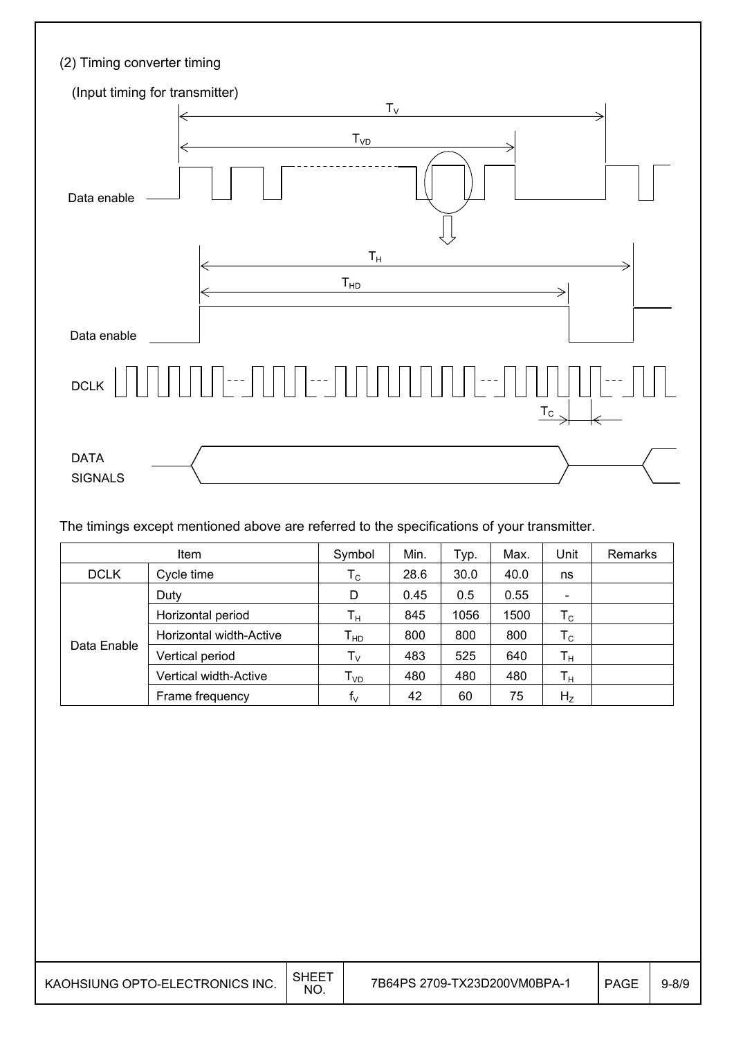| (2) Timing converter timing                               |
|-----------------------------------------------------------|
| (Input timing for transmitter)                            |
| $T_{V}$<br>$T_{VD}$<br>Data enable                        |
| $\mathsf{T}_\mathsf{H}$<br>T <sub>HD</sub><br>Data enable |
| $\ .\ $ --- $\ $<br><b>DCLK</b><br>$\underline{T_{C}}$    |
| <b>DATA</b><br><b>SIGNALS</b>                             |

The timings except mentioned above are referred to the specifications of your transmitter.

|             | Symbol                  | Min.                       | Typ. | Max. | Unit | Remarks        |  |
|-------------|-------------------------|----------------------------|------|------|------|----------------|--|
| <b>DCLK</b> | Cycle time              | $\mathsf{T}_{\mathsf{C}}$  | 28.6 | 30.0 | 40.0 | ns             |  |
|             | Duty                    | D                          | 0.45 | 0.5  | 0.55 |                |  |
|             | Horizontal period       | Tн                         | 845  | 1056 | 1500 | $T_{\rm C}$    |  |
|             | Horizontal width-Active | $\mathsf{T}_{\mathsf{HD}}$ | 800  | 800  | 800  | $T_{\rm C}$    |  |
| Data Enable | Vertical period         | $T_{\rm V}$                | 483  | 525  | 640  | $T_{\rm H}$    |  |
|             | Vertical width-Active   | $T_{VD}$                   | 480  | 480  | 480  | $T_{\rm H}$    |  |
|             | Frame frequency         | $f_{\vee}$                 | 42   | 60   | 75   | H <sub>Z</sub> |  |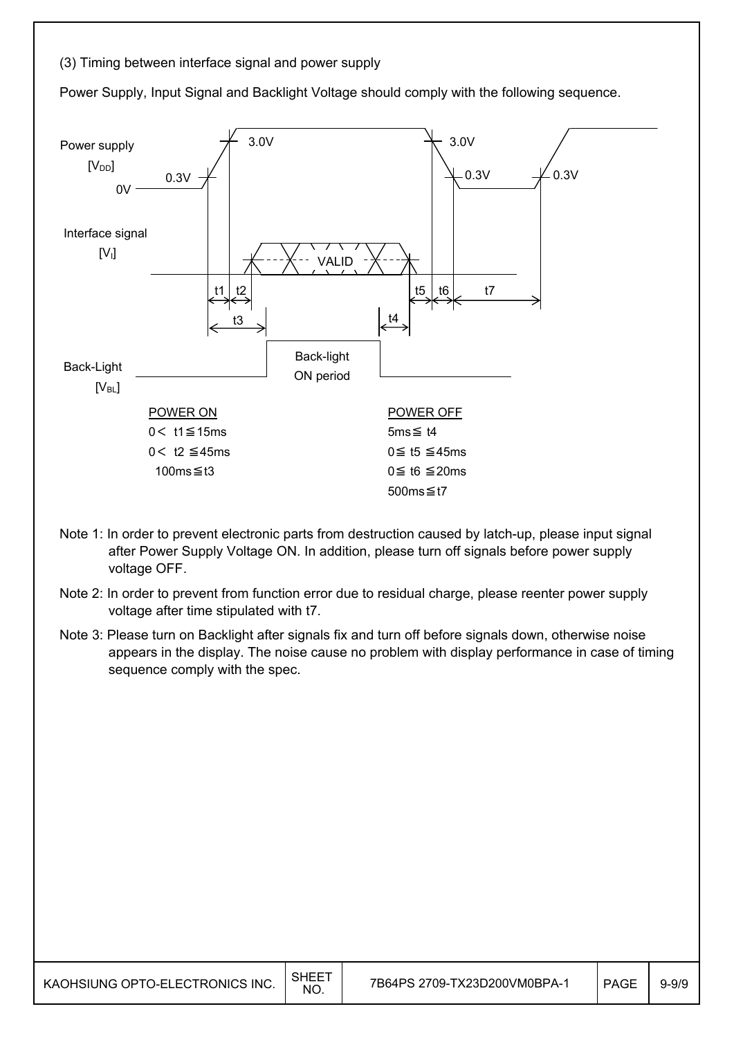#### (3) Timing between interface signal and power supply

Power Supply, Input Signal and Backlight Voltage should comply with the following sequence.



- Note 1: In order to prevent electronic parts from destruction caused by latch-up, please input signal after Power Supply Voltage ON. In addition, please turn off signals before power supply voltage OFF.
- Note 2: In order to prevent from function error due to residual charge, please reenter power supply voltage after time stipulated with t7.
- Note 3: Please turn on Backlight after signals fix and turn off before signals down, otherwise noise appears in the display. The noise cause no problem with display performance in case of timing sequence comply with the spec.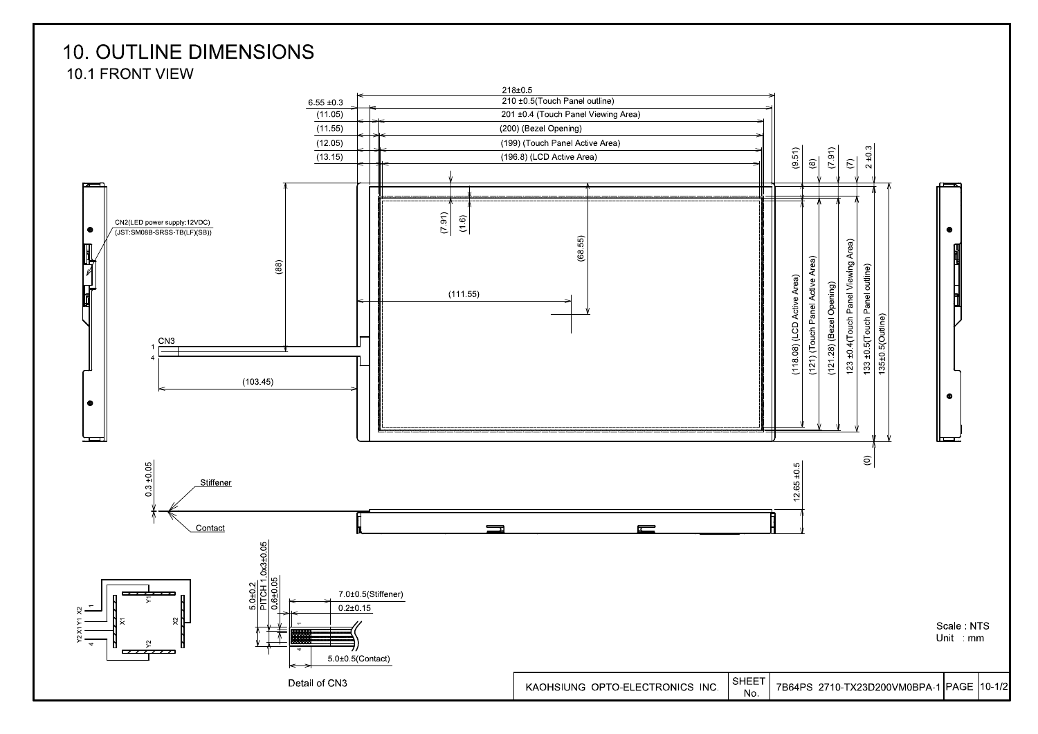## **10. OUTLINE DIMENSIONS** 10.1 FRONT VIEW

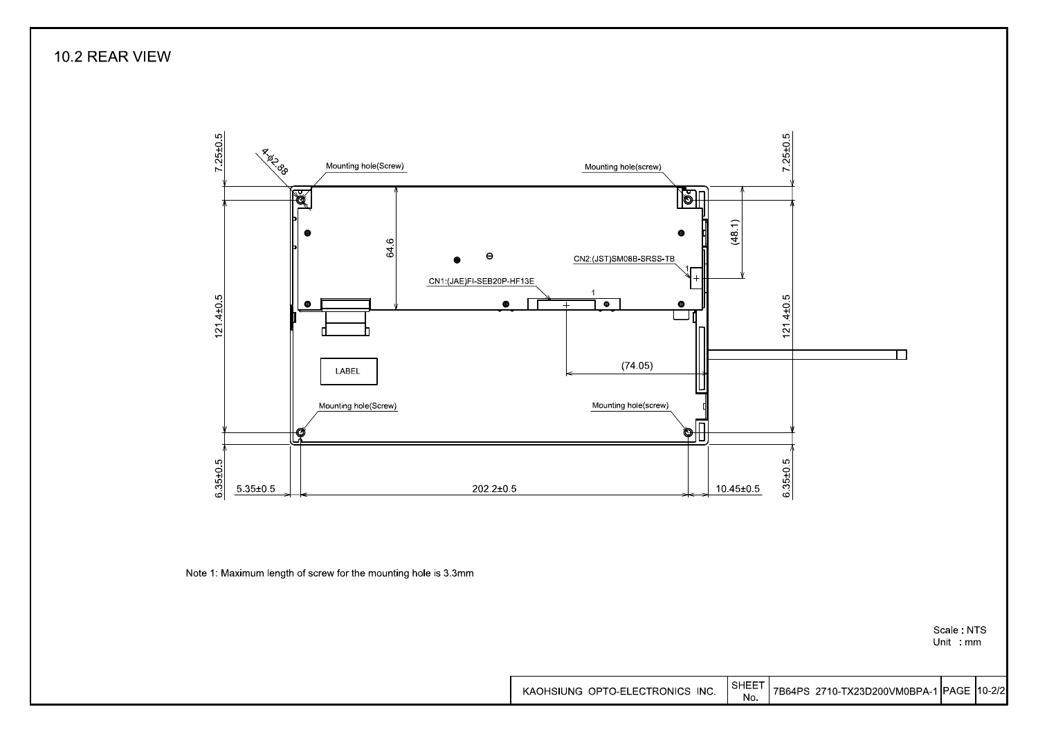10.2 REAR VIEW



Unit mm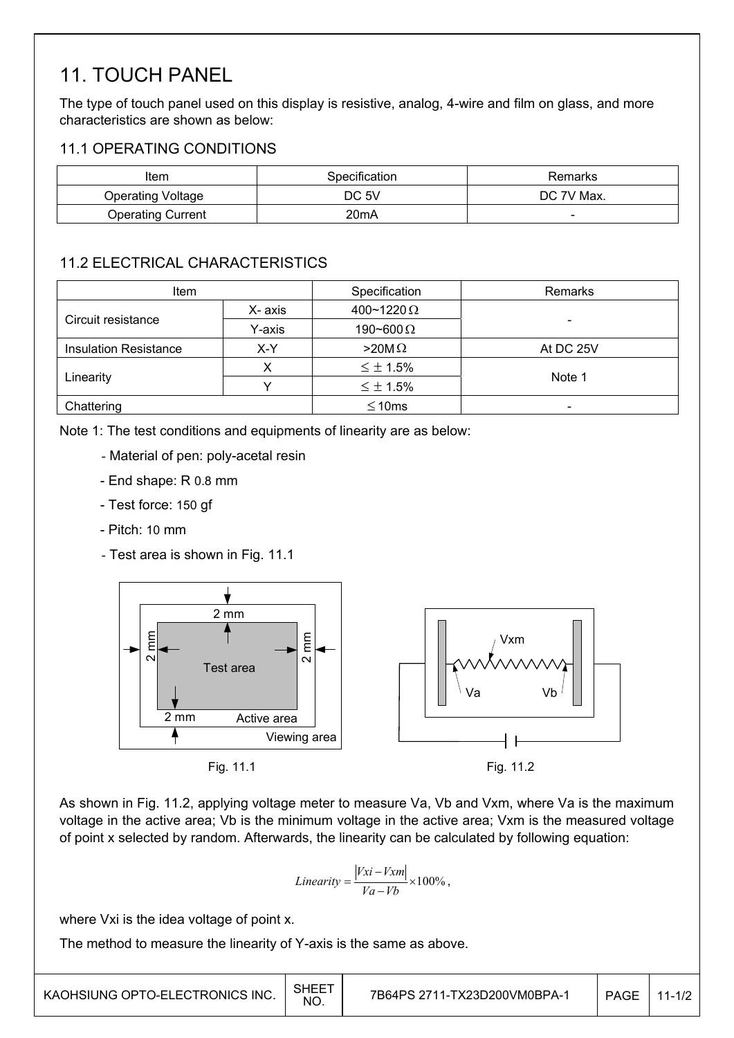## 11. TOUCH PANEL

The type of touch panel used on this display is resistive, analog, 4-wire and film on glass, and more characteristics are shown as below:

## 11.1 OPERATING CONDITIONS

| Item              | Specification | Remarks    |  |  |
|-------------------|---------------|------------|--|--|
| Operating Voltage | DC 5V         | DC 7V Max. |  |  |
| Operating Current | 20mA          | -          |  |  |

## 11.2 ELECTRICAL CHARACTERISTICS

| <b>Item</b>                  |         | Specification     | Remarks                  |  |
|------------------------------|---------|-------------------|--------------------------|--|
|                              | X- axis | 400~1220 $\Omega$ |                          |  |
| Circuit resistance           | Y-axis  | 190~600 $\Omega$  | ۰                        |  |
| <b>Insulation Resistance</b> | X-Y     | $>20M\Omega$      | At DC 25V                |  |
|                              |         | $\leq \pm 1.5\%$  |                          |  |
| Linearity                    |         | $\leq \pm 1.5\%$  | Note 1                   |  |
| Chattering                   |         | $\leq 10$ ms      | $\overline{\phantom{a}}$ |  |

Note 1: The test conditions and equipments of linearity are as below:

- Material of pen: poly-acetal resin
- End shape: R 0.8 mm
- Test force: 150 gf
- Pitch: 10 mm
- Test area is shown in Fig. 11.1



As shown in Fig. 11.2, applying voltage meter to measure Va, Vb and Vxm, where Va is the maximum voltage in the active area; Vb is the minimum voltage in the active area; Vxm is the measured voltage of point x selected by random. Afterwards, the linearity can be calculated by following equation:

$$
Linearity = \frac{|Vxi - Vxm|}{Va - Vb} \times 100\%,
$$

where Vxi is the idea voltage of point x.

The method to measure the linearity of Y-axis is the same as above.

| KAOHSIUNG OPTO-ELECTRONICS INC. | SHEE<br>NO. | 7B64PS 2711-TX23D200VM0BPA-1 | <b>PAGE</b> | $11 - 1/2$ |
|---------------------------------|-------------|------------------------------|-------------|------------|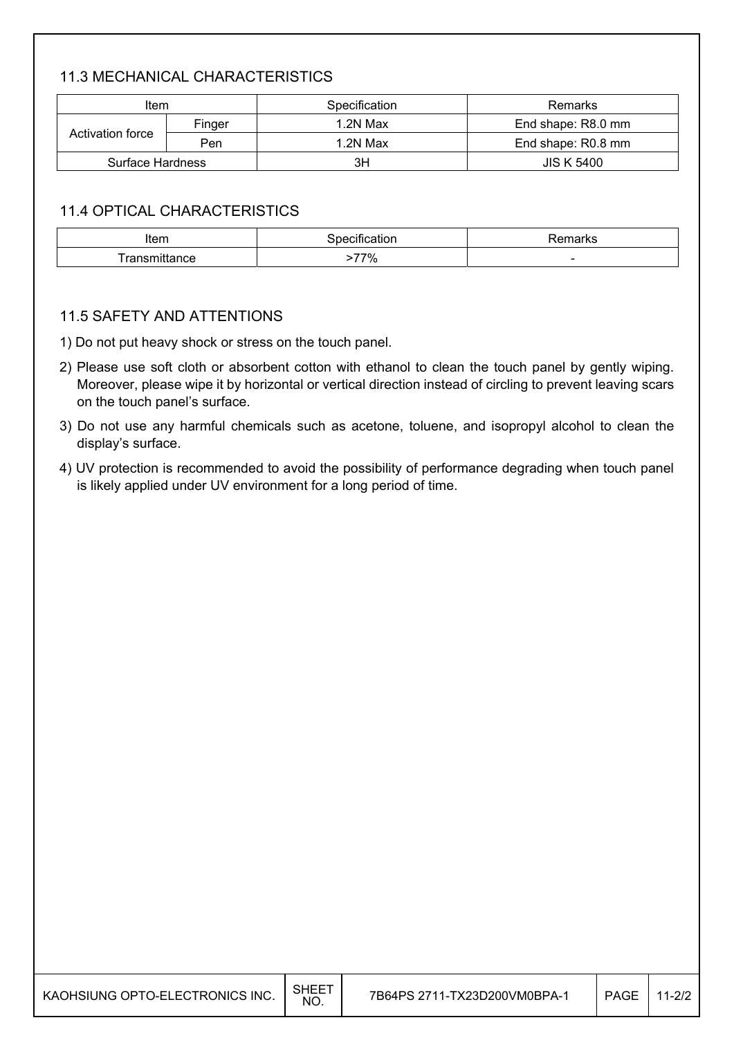### 11.3 MECHANICAL CHARACTERISTICS

| Item                    |        | Specification | Remarks            |
|-------------------------|--------|---------------|--------------------|
|                         | Finger | 1.2N Max      | End shape: R8.0 mm |
| Activation force        | Pen    | 1.2N Max      | End shape: R0.8 mm |
| <b>Surface Hardness</b> |        | 3H            | <b>JIS K 5400</b>  |

### 11.4 OPTICAL CHARACTERISTICS

| Item      |                  | ' iai NS |
|-----------|------------------|----------|
| ance<br>ш | ---<br>70,<br>7٥ |          |

#### 11.5 SAFETY AND ATTENTIONS

1) Do not put heavy shock or stress on the touch panel.

- 2) Please use soft cloth or absorbent cotton with ethanol to clean the touch panel by gently wiping. Moreover, please wipe it by horizontal or vertical direction instead of circling to prevent leaving scars on the touch panel's surface.
- 3) Do not use any harmful chemicals such as acetone, toluene, and isopropyl alcohol to clean the display's surface.
- 4) UV protection is recommended to avoid the possibility of performance degrading when touch panel is likely applied under UV environment for a long period of time.

| KAOHSIUNG OPTO-ELECTRONICS INC. | SHEE1<br>NO. | 7B64PS 2711-TX23D200VM0BPA-1 | PAGE | $11 - 2/2$ |
|---------------------------------|--------------|------------------------------|------|------------|
|---------------------------------|--------------|------------------------------|------|------------|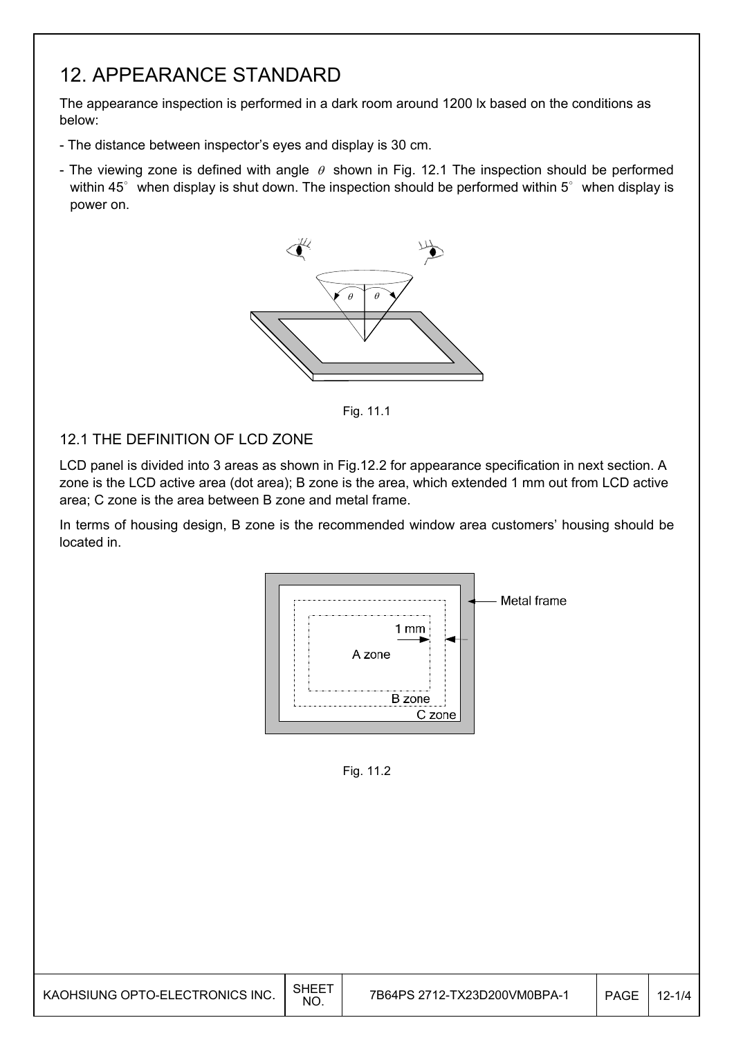## 12. APPEARANCE STANDARD

The appearance inspection is performed in a dark room around 1200 lx based on the conditions as below:

- The distance between inspector's eyes and display is 30 cm.
- The viewing zone is defined with angle  $\theta$  shown in Fig. 12.1 The inspection should be performed within 45 $^{\circ}$  when display is shut down. The inspection should be performed within 5 $^{\circ}$  when display is power on.



Fig. 11.1

### 12.1 THE DEFINITION OF LCD ZONE

LCD panel is divided into 3 areas as shown in Fig.12.2 for appearance specification in next section. A zone is the LCD active area (dot area); B zone is the area, which extended 1 mm out from LCD active area; C zone is the area between B zone and metal frame.

In terms of housing design, B zone is the recommended window area customers' housing should be located in.



Fig. 11.2

| KAOHSIUNG OPTO-ELECTRONICS INC. | SHEE<br><b>NO</b> | 7B64PS 2712-TX23D200VM0BPA-1 | <b>PAGE</b> | $12 - 1/4$ |
|---------------------------------|-------------------|------------------------------|-------------|------------|
|---------------------------------|-------------------|------------------------------|-------------|------------|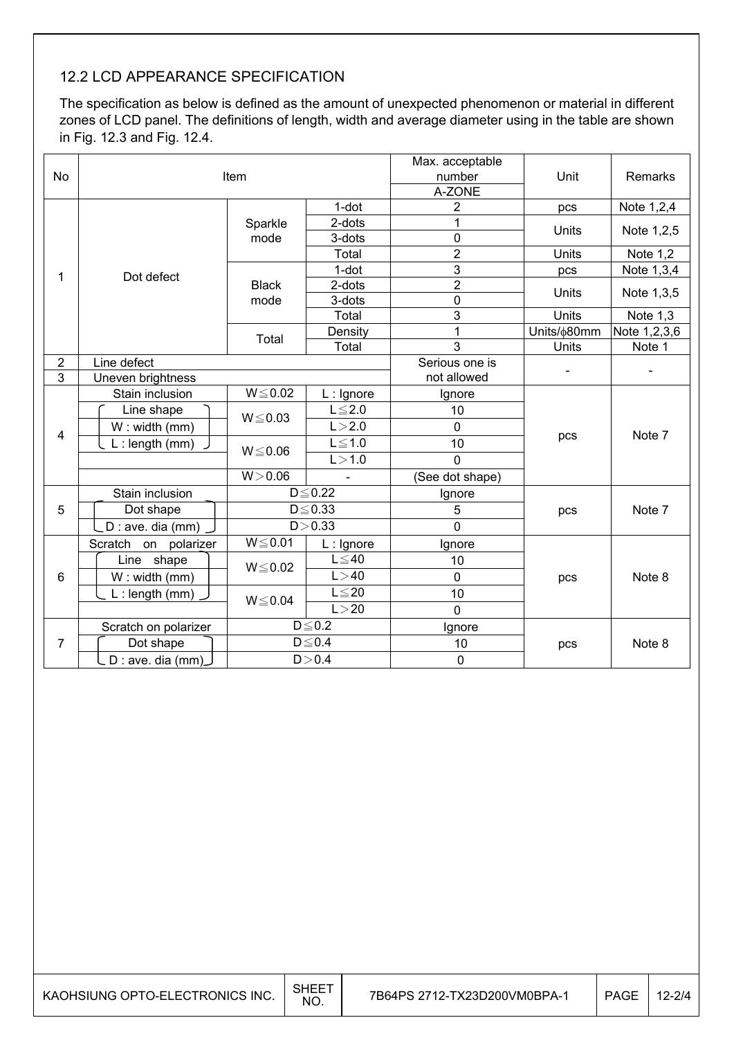## 12.2 LCD APPEARANCE SPECIFICATION

The specification as below is defined as the amount of unexpected phenomenon or material in different zones of LCD panel. The definitions of length, width and average diameter using in the table are shown in Fig. 12.3 and Fig. 12.4.

|                |                            |              |               | Max. acceptable |             |              |
|----------------|----------------------------|--------------|---------------|-----------------|-------------|--------------|
| No             | Item                       |              |               | number          | Unit        | Remarks      |
|                |                            |              |               | A-ZONE          |             |              |
|                |                            |              | 1-dot         | $\overline{2}$  | pcs         | Note 1,2,4   |
|                |                            | Sparkle      | 2-dots        | 1               | Units       | Note 1,2,5   |
|                |                            | mode         | 3-dots        | 0               |             |              |
|                |                            |              | Total         | $\overline{2}$  | Units       | Note 1,2     |
| 1              | Dot defect                 |              | 1-dot         | 3               | pcs         | Note 1,3,4   |
|                |                            | <b>Black</b> | 2-dots        | $\overline{2}$  | Units       | Note 1,3,5   |
|                |                            | mode         | 3-dots        | $\mathbf 0$     |             |              |
|                |                            |              | Total         | 3               | Units       | Note 1,3     |
|                |                            | Total        | Density       | 1               | Units/¢80mm | Note 1,2,3,6 |
|                |                            |              | Total         | 3               | Units       | Note 1       |
| $\overline{2}$ | Line defect                |              |               | Serious one is  |             |              |
| 3              | Uneven brightness          |              | not allowed   |                 |             |              |
|                | Stain inclusion            | $W \le 0.02$ | $L:$ Ignore   | Ignore          |             |              |
|                | Line shape                 | $W \le 0.03$ | $L \leq 2.0$  | 10              |             | Note 7       |
|                | $W:$ width (mm)            |              | L > 2.0       | $\overline{0}$  |             |              |
| 4              | $L:$ length (mm)           | $W \le 0.06$ | $L \leq 1.0$  | 10              | pcs         |              |
|                |                            |              | L > 1.0       | $\mathbf 0$     |             |              |
|                |                            | W > 0.06     |               | (See dot shape) |             |              |
|                | Stain inclusion            |              | $D \leq 0.22$ | Ignore          |             |              |
| 5              | Dot shape                  |              | $D \le 0.33$  | 5               | pcs         | Note 7       |
|                | D : ave. dia (mm)          |              | D > 0.33      | $\overline{0}$  |             |              |
|                | Scratch<br>polarizer<br>on | $W \le 0.01$ | $L:$ Ignore   | Ignore          |             |              |
|                | Line shape                 |              | $L \leq 40$   | 10              |             |              |
| 6              | W: width (mm)              | $W \le 0.02$ | L > 40        | $\mathbf 0$     | pcs         | Note 8       |
|                | $L:$ length (mm)           |              | $L \leq 20$   | 10              |             |              |
|                |                            | $W \le 0.04$ | L > 20        | $\overline{0}$  |             |              |
|                | Scratch on polarizer       |              | $D \leq 0.2$  | Ignore          |             |              |
| 7              | Dot shape                  |              | $D \leq 0.4$  | 10              | pcs         | Note 8       |
|                | _ D : ave. dia (mm)_       |              | D > 0.4       | 0               |             |              |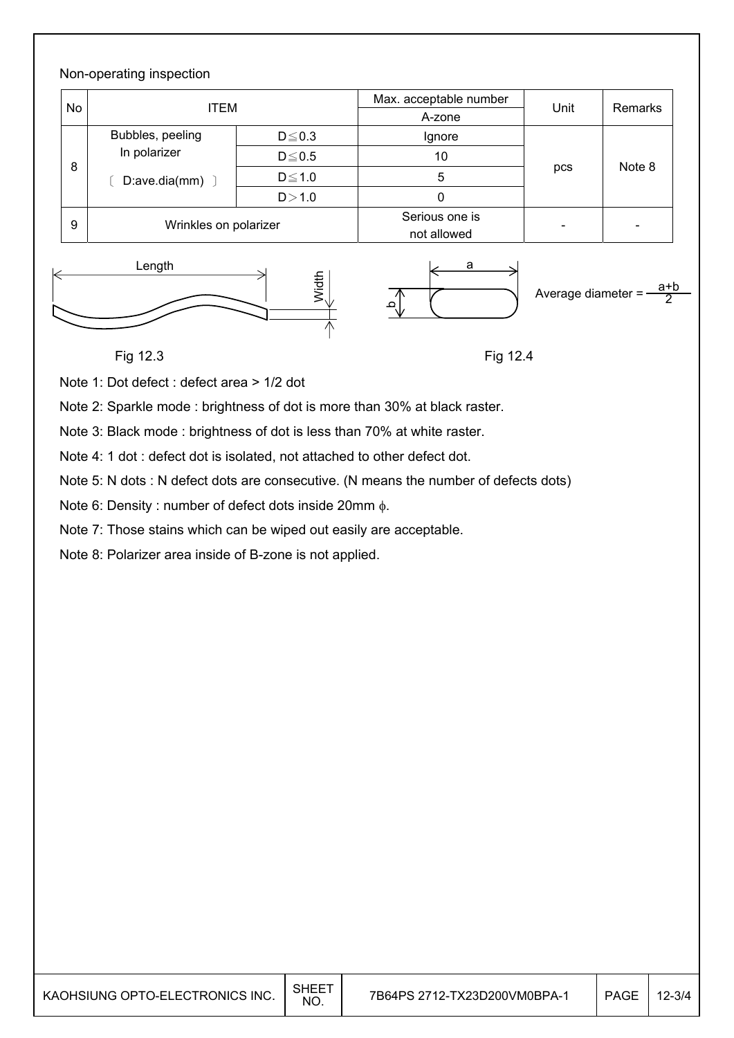#### Non-operating inspection No ITEM **Max.** acceptable number Unit Remarks **No. 1998** 8 Bubbles, peeling In polarizer  $[$  D:ave.dia(mm)  $]$  $D \leq 0.3$  | Ignore pcs Note 8  $D \le 0.5$  10  $D \leq 1.0$  5  $D > 1.0$  0 9 Wrinkles on polarizer Serious one is  $\begin{array}{c|c}\n\hline\n\text{not allowed}\n\end{array}$





Average diameter  $=$ 2

### Fig 12.3

Fig 12.4

Note 1: Dot defect : defect area > 1/2 dot

Note 2: Sparkle mode : brightness of dot is more than 30% at black raster.

Note 3: Black mode : brightness of dot is less than 70% at white raster.

Note 4: 1 dot : defect dot is isolated, not attached to other defect dot.

Note 5: N dots : N defect dots are consecutive. (N means the number of defects dots)

Note 6: Density : number of defect dots inside 20mm  $\phi$ .

Note 7: Those stains which can be wiped out easily are acceptable.

Note 8: Polarizer area inside of B-zone is not applied.

| KAOHSIUNG OPTO-ELECTRONICS INC. | SHEE1<br><b>NO</b> | 7B64PS 2712-TX23D200VM0BPA-1 | <b>PAGE</b> | $12 - 3/4$ |
|---------------------------------|--------------------|------------------------------|-------------|------------|
|---------------------------------|--------------------|------------------------------|-------------|------------|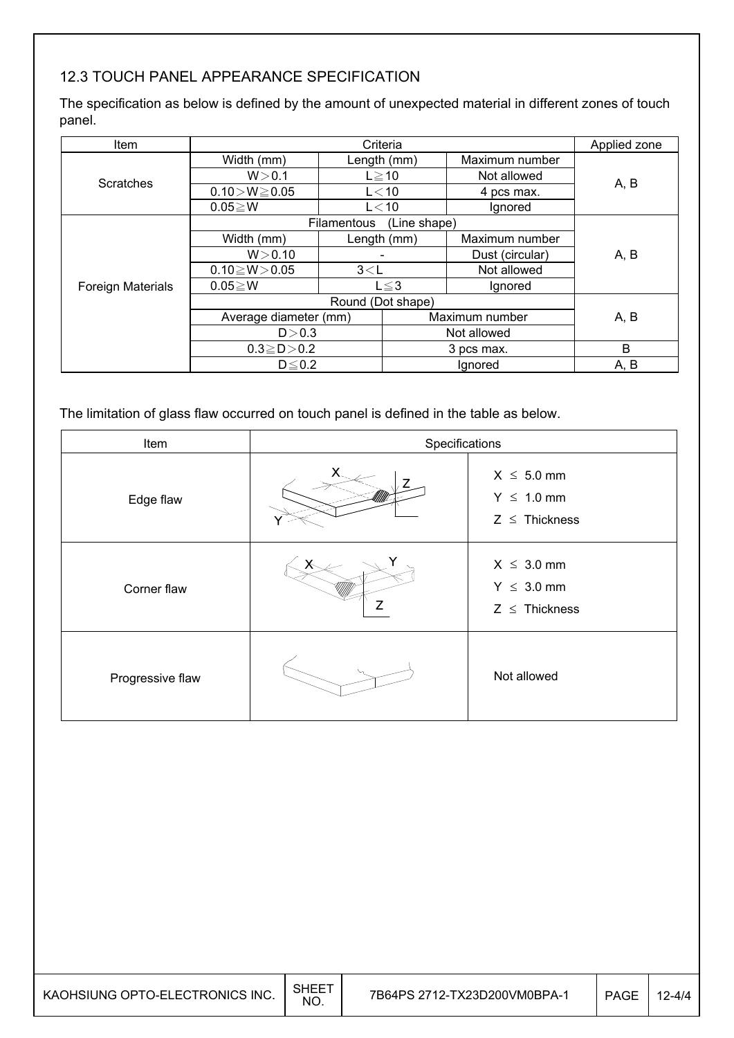## 12.3 TOUCH PANEL APPEARANCE SPECIFICATION

The specification as below is defined by the amount of unexpected material in different zones of touch panel.

| Item                     |                       | Applied zone      |              |                 |      |
|--------------------------|-----------------------|-------------------|--------------|-----------------|------|
|                          | Width (mm)            |                   | Length (mm)  | Maximum number  |      |
| Scratches                | W > 0.1               |                   | $L \ge 10$   | Not allowed     |      |
|                          | $0.10 > W \ge 0.05$   |                   | L < 10       | 4 pcs max.      | A, B |
|                          | $0.05 \geq W$         |                   | $L<$ 10      | Ignored         |      |
|                          |                       | Filamentous       | (Line shape) |                 |      |
|                          | Width (mm)            |                   | Length (mm)  | Maximum number  |      |
|                          | W > 0.10              |                   |              | Dust (circular) | A, B |
|                          | $0.10 \ge W > 0.05$   | 3< L              |              | Not allowed     |      |
| <b>Foreign Materials</b> | $0.05 \geq W$         |                   | $L \leq 3$   | Ignored         |      |
|                          |                       | Round (Dot shape) |              |                 |      |
|                          | Average diameter (mm) |                   |              | Maximum number  | A, B |
| D > 0.3                  |                       |                   |              | Not allowed     |      |
|                          | $0.3 \ge D > 0.2$     |                   | 3 pcs max.   |                 | B    |
|                          | $D \leq 0.2$          |                   |              | Ignored         | A, B |

The limitation of glass flaw occurred on touch panel is defined in the table as below.

| Item             | Specifications |                                                          |  |  |
|------------------|----------------|----------------------------------------------------------|--|--|
| Edge flaw        |                | $X \leq 5.0$ mm<br>$Y \leq 1.0$ mm<br>$Z \leq$ Thickness |  |  |
| Corner flaw      |                | $X \leq 3.0$ mm<br>$Y \leq 3.0$ mm<br>$Z \leq$ Thickness |  |  |
| Progressive flaw |                | Not allowed                                              |  |  |

| KAOHSIUNG OPTO-ELECTRONICS INC. | <b>NO</b> | 7B64PS 2712-TX23D200VM0BPA-1 | PAGE |  |
|---------------------------------|-----------|------------------------------|------|--|
|---------------------------------|-----------|------------------------------|------|--|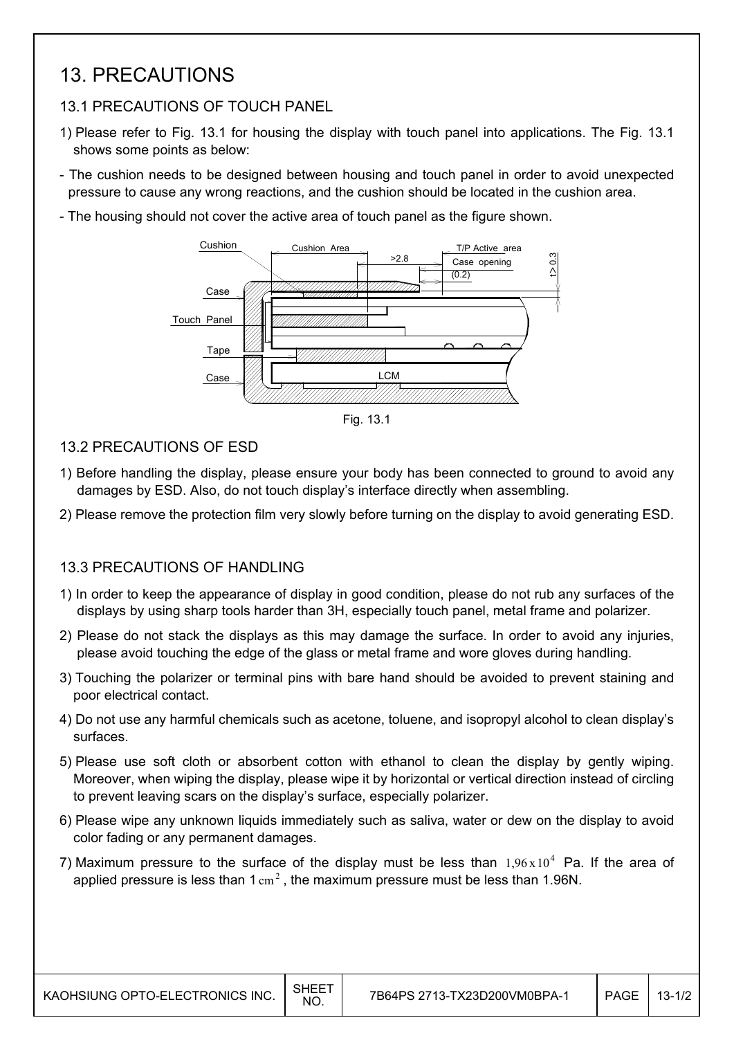## 13. PRECAUTIONS

## 13.1 PRECAUTIONS OF TOUCH PANEL

- 1) Please refer to Fig. 13.1 for housing the display with touch panel into applications. The Fig. 13.1 shows some points as below:
- The cushion needs to be designed between housing and touch panel in order to avoid unexpected pressure to cause any wrong reactions, and the cushion should be located in the cushion area.
- The housing should not cover the active area of touch panel as the figure shown.



Fig. 13.1

#### 13.2 PRECAUTIONS OF ESD

- 1) Before handling the display, please ensure your body has been connected to ground to avoid any damages by ESD. Also, do not touch display's interface directly when assembling.
- 2) Please remove the protection film very slowly before turning on the display to avoid generating ESD.

#### 13.3 PRECAUTIONS OF HANDLING

- 1) In order to keep the appearance of display in good condition, please do not rub any surfaces of the displays by using sharp tools harder than 3H, especially touch panel, metal frame and polarizer.
- 2) Please do not stack the displays as this may damage the surface. In order to avoid any injuries, please avoid touching the edge of the glass or metal frame and wore gloves during handling.
- 3) Touching the polarizer or terminal pins with bare hand should be avoided to prevent staining and poor electrical contact.
- 4) Do not use any harmful chemicals such as acetone, toluene, and isopropyl alcohol to clean display's surfaces.
- 5) Please use soft cloth or absorbent cotton with ethanol to clean the display by gently wiping. Moreover, when wiping the display, please wipe it by horizontal or vertical direction instead of circling to prevent leaving scars on the display's surface, especially polarizer.
- 6) Please wipe any unknown liquids immediately such as saliva, water or dew on the display to avoid color fading or any permanent damages.
- 7) Maximum pressure to the surface of the display must be less than  $1.96 \times 10^4$  Pa. If the area of applied pressure is less than  $1 \text{ cm}^2$ , the maximum pressure must be less than 1.96N.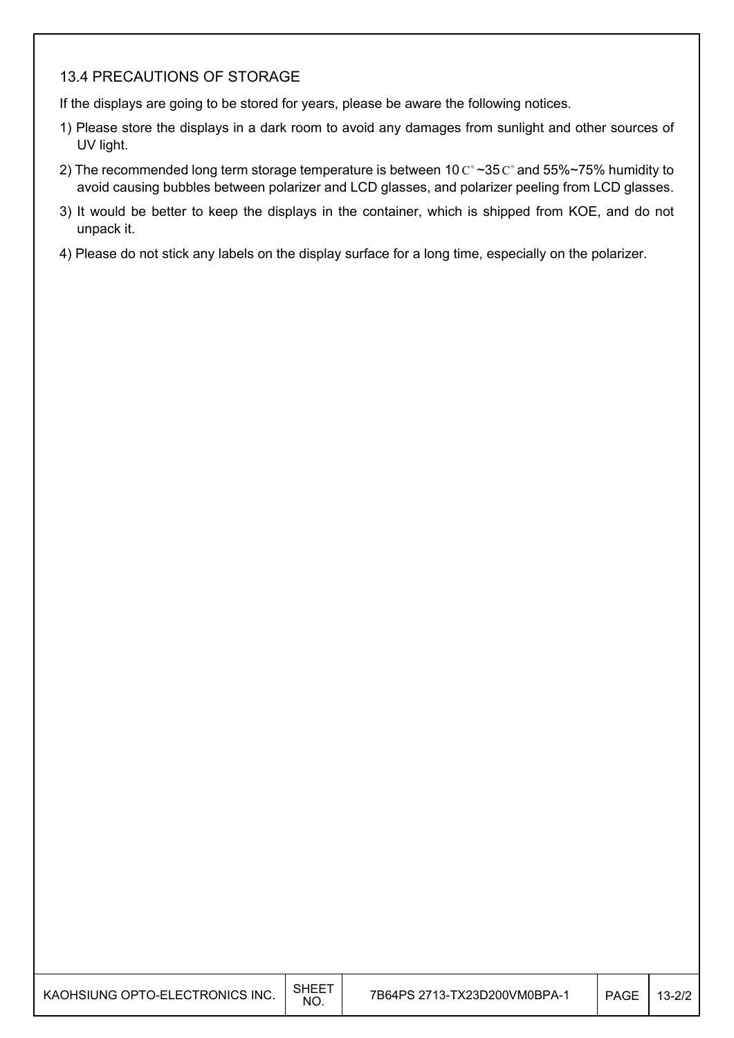### 13.4 PRECAUTIONS OF STORAGE

If the displays are going to be stored for years, please be aware the following notices.

- 1) Please store the displays in a dark room to avoid any damages from sunlight and other sources of UV light.
- 2) The recommended long term storage temperature is between 10  $C^{\circ}$  ~35  $C^{\circ}$  and 55%~75% humidity to avoid causing bubbles between polarizer and LCD glasses, and polarizer peeling from LCD glasses.
- 3) It would be better to keep the displays in the container, which is shipped from KOE, and do not unpack it.
- 4) Please do not stick any labels on the display surface for a long time, especially on the polarizer.

| KAOHSIUNG OPTO-ELECTRONICS INC. | <b>SHEET</b><br>NO. | 7B64PS 2713-TX23D200VM0BPA-1 | <b>PAGE</b> | $13 - 2/2$ |
|---------------------------------|---------------------|------------------------------|-------------|------------|